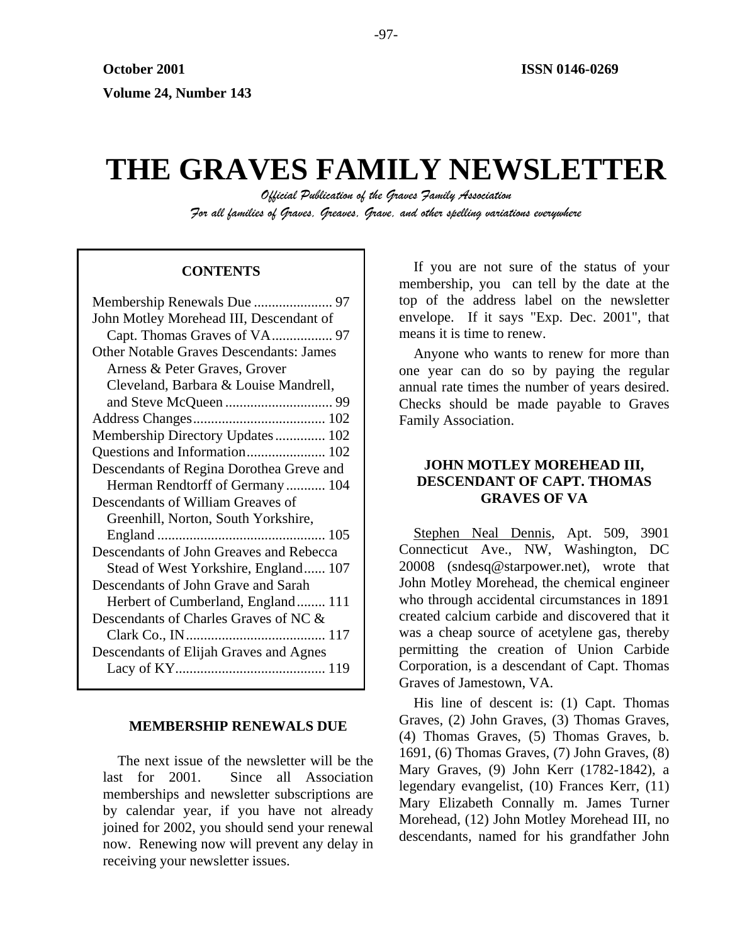# **THE GRAVES FAMILY NEWSLETTER**

*Official Publication of the Graves Family Association For all families of Graves, Greaves, Grave, and other spelling variations everywhere* 

# **CONTENTS**

| John Motley Morehead III, Descendant of        |
|------------------------------------------------|
|                                                |
| <b>Other Notable Graves Descendants: James</b> |
| Arness & Peter Graves, Grover                  |
| Cleveland, Barbara & Louise Mandrell,          |
|                                                |
|                                                |
| Membership Directory Updates 102               |
|                                                |
| Descendants of Regina Dorothea Greve and       |
| Herman Rendtorff of Germany  104               |
| Descendants of William Greaves of              |
| Greenhill, Norton, South Yorkshire,            |
|                                                |
| Descendants of John Greaves and Rebecca        |
| Stead of West Yorkshire, England 107           |
| Descendants of John Grave and Sarah            |
|                                                |
| Herbert of Cumberland, England 111             |
| Descendants of Charles Graves of NC &          |
|                                                |
| Descendants of Elijah Graves and Agnes         |
|                                                |

#### **MEMBERSHIP RENEWALS DUE**

The next issue of the newsletter will be the last for 2001. Since all Association memberships and newsletter subscriptions are by calendar year, if you have not already joined for 2002, you should send your renewal now. Renewing now will prevent any delay in receiving your newsletter issues.

If you are not sure of the status of your membership, you can tell by the date at the top of the address label on the newsletter envelope. If it says "Exp. Dec. 2001", that means it is time to renew.

Anyone who wants to renew for more than one year can do so by paying the regular annual rate times the number of years desired. Checks should be made payable to Graves Family Association.

# **JOHN MOTLEY MOREHEAD III, DESCENDANT OF CAPT. THOMAS GRAVES OF VA**

Stephen Neal Dennis, Apt. 509, 3901 Connecticut Ave., NW, Washington, DC 20008 (sndesq@starpower.net), wrote that John Motley Morehead, the chemical engineer who through accidental circumstances in 1891 created calcium carbide and discovered that it was a cheap source of acetylene gas, thereby permitting the creation of Union Carbide Corporation, is a descendant of Capt. Thomas Graves of Jamestown, VA.

His line of descent is: (1) Capt. Thomas Graves, (2) John Graves, (3) Thomas Graves, (4) Thomas Graves, (5) Thomas Graves, b. 1691, (6) Thomas Graves, (7) John Graves, (8) Mary Graves, (9) John Kerr (1782-1842), a legendary evangelist, (10) Frances Kerr, (11) Mary Elizabeth Connally m. James Turner Morehead, (12) John Motley Morehead III, no descendants, named for his grandfather John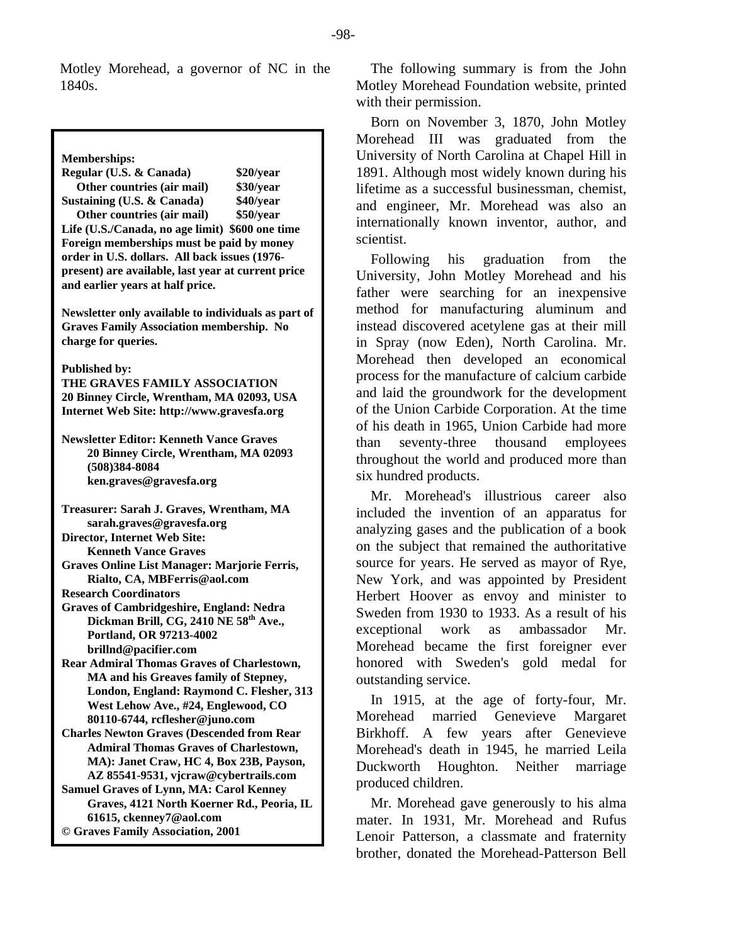Motley Morehead, a governor of NC in the 1840s.

**Memberships: Regular (U.S. & Canada) \$20/year Other countries (air mail) \$30/year Sustaining (U.S. & Canada) \$40/year Other countries (air mail) \$50/year Life (U.S./Canada, no age limit) \$600 one time Foreign memberships must be paid by money order in U.S. dollars. All back issues (1976 present) are available, last year at current price and earlier years at half price. Newsletter only available to individuals as part of Graves Family Association membership. No charge for queries. Published by: THE GRAVES FAMILY ASSOCIATION 20 Binney Circle, Wrentham, MA 02093, USA Internet Web Site: http://www.gravesfa.org Newsletter Editor: Kenneth Vance Graves 20 Binney Circle, Wrentham, MA 02093 (508)384-8084 ken.graves@gravesfa.org Treasurer: Sarah J. Graves, Wrentham, MA sarah.graves@gravesfa.org Director, Internet Web Site: Kenneth Vance Graves Graves Online List Manager: Marjorie Ferris, Rialto, CA, MBFerris@aol.com Research Coordinators Graves of Cambridgeshire, England: Nedra**  Dickman Brill, CG, 2410 NE 58<sup>th</sup> Ave., **Portland, OR 97213-4002 brillnd@pacifier.com Rear Admiral Thomas Graves of Charlestown, MA and his Greaves family of Stepney, London, England: Raymond C. Flesher, 313 West Lehow Ave., #24, Englewood, CO 80110-6744, rcflesher@juno.com Charles Newton Graves (Descended from Rear Admiral Thomas Graves of Charlestown, MA): Janet Craw, HC 4, Box 23B, Payson, AZ 85541-9531, vjcraw@cybertrails.com Samuel Graves of Lynn, MA: Carol Kenney Graves, 4121 North Koerner Rd., Peoria, IL 61615, ckenney7@aol.com © Graves Family Association, 2001**

The following summary is from the John Motley Morehead Foundation website, printed with their permission.

Born on November 3, 1870, John Motley Morehead III was graduated from the University of North Carolina at Chapel Hill in 1891. Although most widely known during his lifetime as a successful businessman, chemist, and engineer, Mr. Morehead was also an internationally known inventor, author, and scientist.

Following his graduation from the University, John Motley Morehead and his father were searching for an inexpensive method for manufacturing aluminum and instead discovered acetylene gas at their mill in Spray (now Eden), North Carolina. Mr. Morehead then developed an economical process for the manufacture of calcium carbide and laid the groundwork for the development of the Union Carbide Corporation. At the time of his death in 1965, Union Carbide had more than seventy-three thousand employees throughout the world and produced more than six hundred products.

Mr. Morehead's illustrious career also included the invention of an apparatus for analyzing gases and the publication of a book on the subject that remained the authoritative source for years. He served as mayor of Rye, New York, and was appointed by President Herbert Hoover as envoy and minister to Sweden from 1930 to 1933. As a result of his exceptional work as ambassador Mr. Morehead became the first foreigner ever honored with Sweden's gold medal for outstanding service.

In 1915, at the age of forty-four, Mr. Morehead married Genevieve Margaret Birkhoff. A few years after Genevieve Morehead's death in 1945, he married Leila Duckworth Houghton. Neither marriage produced children.

Mr. Morehead gave generously to his alma mater. In 1931, Mr. Morehead and Rufus Lenoir Patterson, a classmate and fraternity brother, donated the Morehead-Patterson Bell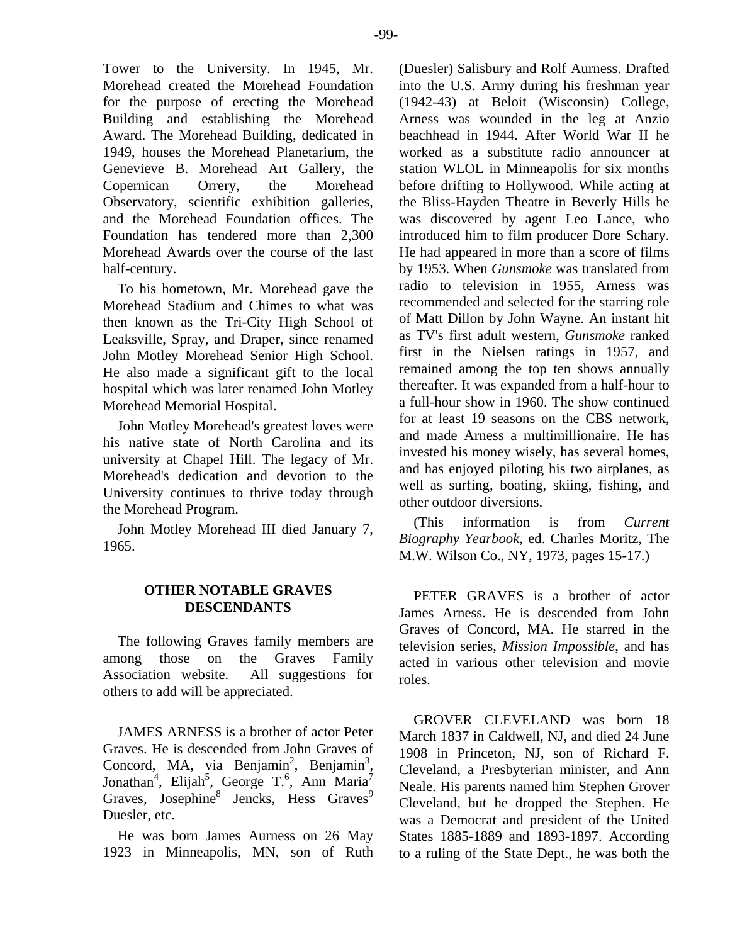Tower to the University. In 1945, Mr. Morehead created the Morehead Foundation for the purpose of erecting the Morehead Building and establishing the Morehead Award. The Morehead Building, dedicated in 1949, houses the Morehead Planetarium, the Genevieve B. Morehead Art Gallery, the Copernican Orrery, the Morehead Observatory, scientific exhibition galleries, and the Morehead Foundation offices. The Foundation has tendered more than 2,300 Morehead Awards over the course of the last half-century.

To his hometown, Mr. Morehead gave the Morehead Stadium and Chimes to what was then known as the Tri-City High School of Leaksville, Spray, and Draper, since renamed John Motley Morehead Senior High School. He also made a significant gift to the local hospital which was later renamed John Motley Morehead Memorial Hospital.

John Motley Morehead's greatest loves were his native state of North Carolina and its university at Chapel Hill. The legacy of Mr. Morehead's dedication and devotion to the University continues to thrive today through the Morehead Program.

John Motley Morehead III died January 7, 1965.

# **OTHER NOTABLE GRAVES DESCENDANTS**

The following Graves family members are among those on the Graves Family Association website. All suggestions for others to add will be appreciated.

JAMES ARNESS is a brother of actor Peter Graves. He is descended from John Graves of Concord, MA, via Benjamin<sup>2</sup>, Benjamin<sup>3</sup>, Jonathan<sup>4</sup>, Elijah<sup>5</sup>, George T.<sup>6</sup>, Ann Maria<sup>7</sup> Graves, Josephine<sup>8</sup> Jencks, Hess Graves<sup>9</sup> Duesler, etc.

He was born James Aurness on 26 May 1923 in Minneapolis, MN, son of Ruth (Duesler) Salisbury and Rolf Aurness. Drafted into the U.S. Army during his freshman year (1942-43) at Beloit (Wisconsin) College, Arness was wounded in the leg at Anzio beachhead in 1944. After World War II he worked as a substitute radio announcer at station WLOL in Minneapolis for six months before drifting to Hollywood. While acting at the Bliss-Hayden Theatre in Beverly Hills he was discovered by agent Leo Lance, who introduced him to film producer Dore Schary. He had appeared in more than a score of films by 1953. When *Gunsmoke* was translated from radio to television in 1955, Arness was recommended and selected for the starring role of Matt Dillon by John Wayne. An instant hit as TV's first adult western, *Gunsmoke* ranked first in the Nielsen ratings in 1957, and remained among the top ten shows annually thereafter. It was expanded from a half-hour to a full-hour show in 1960. The show continued for at least 19 seasons on the CBS network, and made Arness a multimillionaire. He has invested his money wisely, has several homes, and has enjoyed piloting his two airplanes, as well as surfing, boating, skiing, fishing, and other outdoor diversions.

(This information is from *Current Biography Yearbook*, ed. Charles Moritz, The M.W. Wilson Co., NY, 1973, pages 15-17.)

PETER GRAVES is a brother of actor James Arness. He is descended from John Graves of Concord, MA. He starred in the television series, *Mission Impossible*, and has acted in various other television and movie roles.

GROVER CLEVELAND was born 18 March 1837 in Caldwell, NJ, and died 24 June 1908 in Princeton, NJ, son of Richard F. Cleveland, a Presbyterian minister, and Ann Neale. His parents named him Stephen Grover Cleveland, but he dropped the Stephen. He was a Democrat and president of the United States 1885-1889 and 1893-1897. According to a ruling of the State Dept., he was both the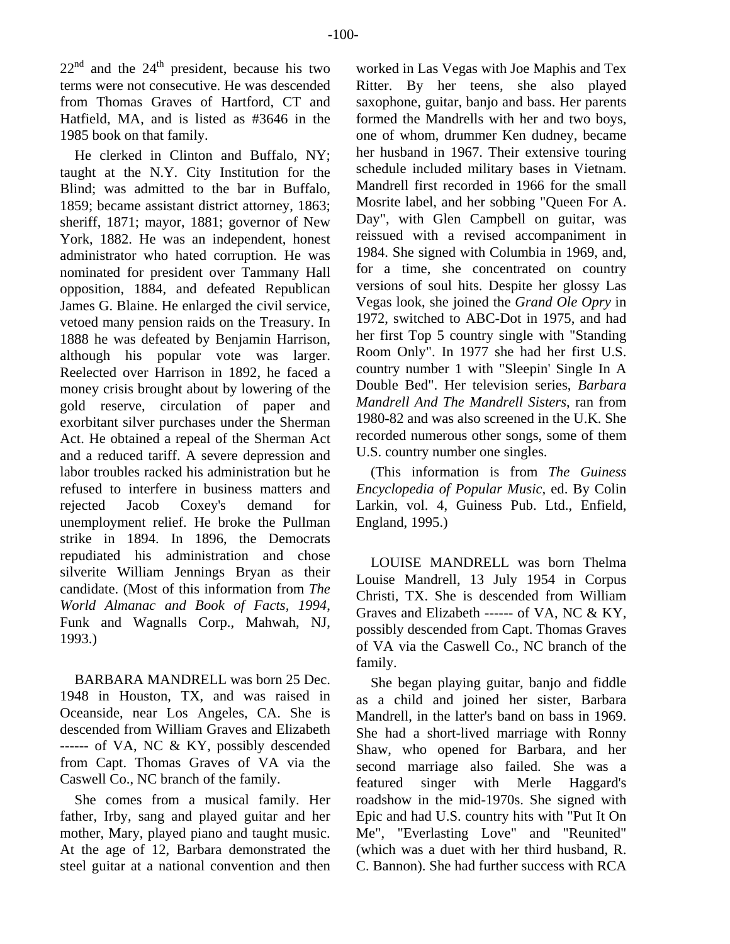$22<sup>nd</sup>$  and the  $24<sup>th</sup>$  president, because his two terms were not consecutive. He was descended from Thomas Graves of Hartford, CT and Hatfield, MA, and is listed as #3646 in the 1985 book on that family.

He clerked in Clinton and Buffalo, NY; taught at the N.Y. City Institution for the Blind; was admitted to the bar in Buffalo, 1859; became assistant district attorney, 1863; sheriff, 1871; mayor, 1881; governor of New York, 1882. He was an independent, honest administrator who hated corruption. He was nominated for president over Tammany Hall opposition, 1884, and defeated Republican James G. Blaine. He enlarged the civil service, vetoed many pension raids on the Treasury. In 1888 he was defeated by Benjamin Harrison, although his popular vote was larger. Reelected over Harrison in 1892, he faced a money crisis brought about by lowering of the gold reserve, circulation of paper and exorbitant silver purchases under the Sherman Act. He obtained a repeal of the Sherman Act and a reduced tariff. A severe depression and labor troubles racked his administration but he refused to interfere in business matters and rejected Jacob Coxey's demand for unemployment relief. He broke the Pullman strike in 1894. In 1896, the Democrats repudiated his administration and chose silverite William Jennings Bryan as their candidate. (Most of this information from *The World Almanac and Book of Facts, 1994*, Funk and Wagnalls Corp., Mahwah, NJ, 1993.)

BARBARA MANDRELL was born 25 Dec. 1948 in Houston, TX, and was raised in Oceanside, near Los Angeles, CA. She is descended from William Graves and Elizabeth ------ of VA, NC & KY, possibly descended from Capt. Thomas Graves of VA via the Caswell Co., NC branch of the family.

She comes from a musical family. Her father, Irby, sang and played guitar and her mother, Mary, played piano and taught music. At the age of 12, Barbara demonstrated the steel guitar at a national convention and then

worked in Las Vegas with Joe Maphis and Tex Ritter. By her teens, she also played saxophone, guitar, banjo and bass. Her parents formed the Mandrells with her and two boys, one of whom, drummer Ken dudney, became her husband in 1967. Their extensive touring schedule included military bases in Vietnam. Mandrell first recorded in 1966 for the small Mosrite label, and her sobbing "Queen For A. Day", with Glen Campbell on guitar, was reissued with a revised accompaniment in 1984. She signed with Columbia in 1969, and, for a time, she concentrated on country versions of soul hits. Despite her glossy Las Vegas look, she joined the *Grand Ole Opry* in 1972, switched to ABC-Dot in 1975, and had her first Top 5 country single with "Standing Room Only". In 1977 she had her first U.S. country number 1 with "Sleepin' Single In A Double Bed". Her television series, *Barbara Mandrell And The Mandrell Sisters*, ran from 1980-82 and was also screened in the U.K. She recorded numerous other songs, some of them U.S. country number one singles.

(This information is from *The Guiness Encyclopedia of Popular Music*, ed. By Colin Larkin, vol. 4, Guiness Pub. Ltd., Enfield, England, 1995.)

LOUISE MANDRELL was born Thelma Louise Mandrell, 13 July 1954 in Corpus Christi, TX. She is descended from William Graves and Elizabeth ------ of VA, NC & KY, possibly descended from Capt. Thomas Graves of VA via the Caswell Co., NC branch of the family.

She began playing guitar, banjo and fiddle as a child and joined her sister, Barbara Mandrell, in the latter's band on bass in 1969. She had a short-lived marriage with Ronny Shaw, who opened for Barbara, and her second marriage also failed. She was a featured singer with Merle Haggard's roadshow in the mid-1970s. She signed with Epic and had U.S. country hits with "Put It On Me", "Everlasting Love" and "Reunited" (which was a duet with her third husband, R. C. Bannon). She had further success with RCA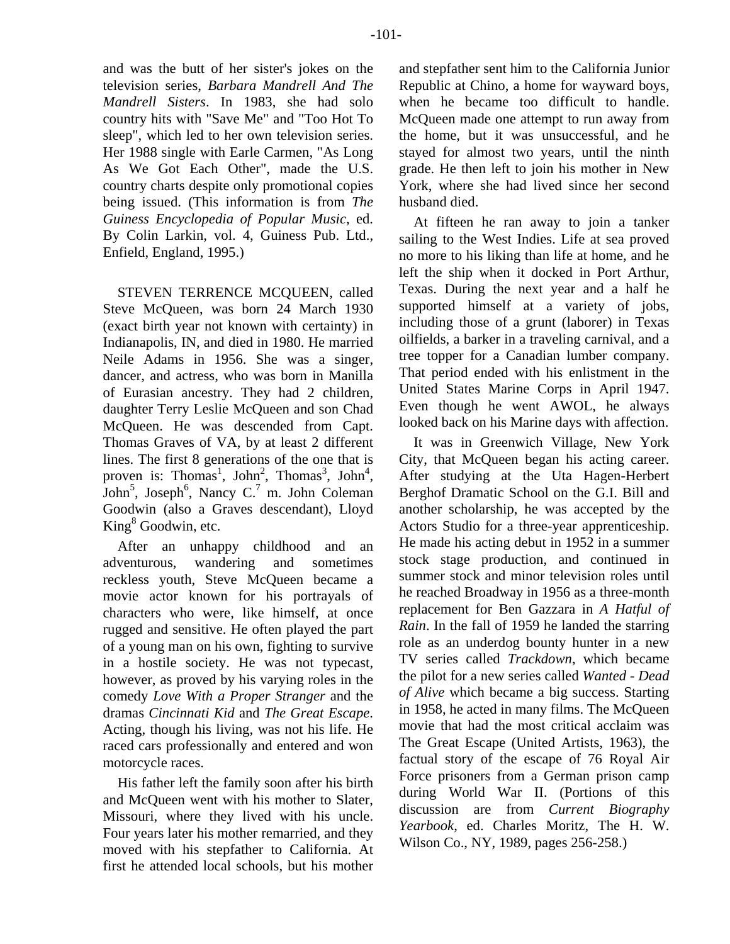and was the butt of her sister's jokes on the television series, *Barbara Mandrell And The Mandrell Sisters*. In 1983, she had solo country hits with "Save Me" and "Too Hot To sleep", which led to her own television series. Her 1988 single with Earle Carmen, "As Long As We Got Each Other", made the U.S. country charts despite only promotional copies being issued. (This information is from *The Guiness Encyclopedia of Popular Music*, ed. By Colin Larkin, vol. 4, Guiness Pub. Ltd., Enfield, England, 1995.)

STEVEN TERRENCE MCQUEEN, called Steve McQueen, was born 24 March 1930 (exact birth year not known with certainty) in Indianapolis, IN, and died in 1980. He married Neile Adams in 1956. She was a singer, dancer, and actress, who was born in Manilla of Eurasian ancestry. They had 2 children, daughter Terry Leslie McQueen and son Chad McQueen. He was descended from Capt. Thomas Graves of VA, by at least 2 different lines. The first 8 generations of the one that is proven is: Thomas<sup>1</sup>, John<sup>2</sup>, Thomas<sup>3</sup>, John<sup>4</sup>, John<sup>5</sup>, Joseph<sup>6</sup>, Nancy C.<sup>7</sup> m. John Coleman Goodwin (also a Graves descendant), Lloyd King<sup>8</sup> Goodwin, etc.

After an unhappy childhood and an adventurous, wandering and sometimes reckless youth, Steve McQueen became a movie actor known for his portrayals of characters who were, like himself, at once rugged and sensitive. He often played the part of a young man on his own, fighting to survive in a hostile society. He was not typecast, however, as proved by his varying roles in the comedy *Love With a Proper Stranger* and the dramas *Cincinnati Kid* and *The Great Escape*. Acting, though his living, was not his life. He raced cars professionally and entered and won motorcycle races.

His father left the family soon after his birth and McQueen went with his mother to Slater, Missouri, where they lived with his uncle. Four years later his mother remarried, and they moved with his stepfather to California. At first he attended local schools, but his mother

and stepfather sent him to the California Junior Republic at Chino, a home for wayward boys, when he became too difficult to handle. McQueen made one attempt to run away from the home, but it was unsuccessful, and he stayed for almost two years, until the ninth grade. He then left to join his mother in New York, where she had lived since her second husband died.

At fifteen he ran away to join a tanker sailing to the West Indies. Life at sea proved no more to his liking than life at home, and he left the ship when it docked in Port Arthur, Texas. During the next year and a half he supported himself at a variety of jobs, including those of a grunt (laborer) in Texas oilfields, a barker in a traveling carnival, and a tree topper for a Canadian lumber company. That period ended with his enlistment in the United States Marine Corps in April 1947. Even though he went AWOL, he always looked back on his Marine days with affection.

It was in Greenwich Village, New York City, that McQueen began his acting career. After studying at the Uta Hagen-Herbert Berghof Dramatic School on the G.I. Bill and another scholarship, he was accepted by the Actors Studio for a three-year apprenticeship. He made his acting debut in 1952 in a summer stock stage production, and continued in summer stock and minor television roles until he reached Broadway in 1956 as a three-month replacement for Ben Gazzara in *A Hatful of Rain*. In the fall of 1959 he landed the starring role as an underdog bounty hunter in a new TV series called *Trackdown*, which became the pilot for a new series called *Wanted - Dead of Alive* which became a big success. Starting in 1958, he acted in many films. The McQueen movie that had the most critical acclaim was The Great Escape (United Artists, 1963), the factual story of the escape of 76 Royal Air Force prisoners from a German prison camp during World War II. (Portions of this discussion are from *Current Biography Yearbook*, ed. Charles Moritz, The H. W. Wilson Co., NY, 1989, pages 256-258.)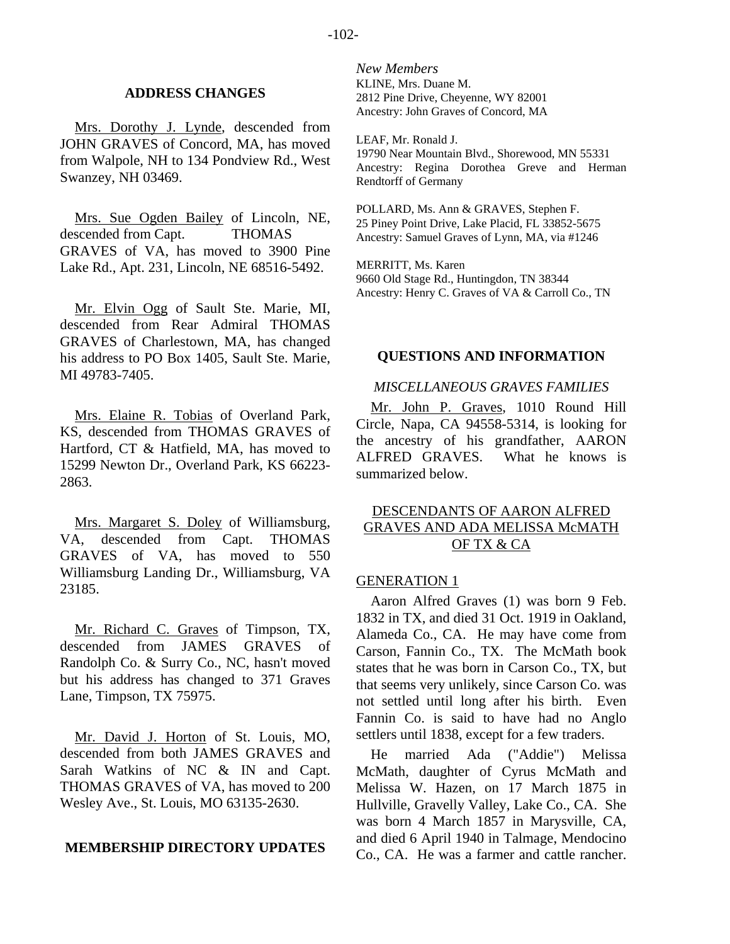#### **ADDRESS CHANGES**

Mrs. Dorothy J. Lynde, descended from JOHN GRAVES of Concord, MA, has moved from Walpole, NH to 134 Pondview Rd., West Swanzey, NH 03469.

Mrs. Sue Ogden Bailey of Lincoln, NE, descended from Capt. THOMAS GRAVES of VA, has moved to 3900 Pine Lake Rd., Apt. 231, Lincoln, NE 68516-5492.

Mr. Elvin Ogg of Sault Ste. Marie, MI, descended from Rear Admiral THOMAS GRAVES of Charlestown, MA, has changed his address to PO Box 1405, Sault Ste. Marie, MI 49783-7405.

Mrs. Elaine R. Tobias of Overland Park, KS, descended from THOMAS GRAVES of Hartford, CT & Hatfield, MA, has moved to 15299 Newton Dr., Overland Park, KS 66223- 2863.

Mrs. Margaret S. Doley of Williamsburg, VA, descended from Capt. THOMAS GRAVES of VA, has moved to 550 Williamsburg Landing Dr., Williamsburg, VA 23185.

Mr. Richard C. Graves of Timpson, TX, descended from JAMES GRAVES of Randolph Co. & Surry Co., NC, hasn't moved but his address has changed to 371 Graves Lane, Timpson, TX 75975.

Mr. David J. Horton of St. Louis, MO, descended from both JAMES GRAVES and Sarah Watkins of NC & IN and Capt. THOMAS GRAVES of VA, has moved to 200 Wesley Ave., St. Louis, MO 63135-2630.

#### **MEMBERSHIP DIRECTORY UPDATES**

*New Members*  KLINE, Mrs. Duane M. 2812 Pine Drive, Cheyenne, WY 82001 Ancestry: John Graves of Concord, MA

LEAF, Mr. Ronald J. 19790 Near Mountain Blvd., Shorewood, MN 55331 Ancestry: Regina Dorothea Greve and Herman Rendtorff of Germany

POLLARD, Ms. Ann & GRAVES, Stephen F. 25 Piney Point Drive, Lake Placid, FL 33852-5675 Ancestry: Samuel Graves of Lynn, MA, via #1246

MERRITT, Ms. Karen 9660 Old Stage Rd., Huntingdon, TN 38344 Ancestry: Henry C. Graves of VA & Carroll Co., TN

#### **QUESTIONS AND INFORMATION**

#### *MISCELLANEOUS GRAVES FAMILIES*

Mr. John P. Graves, 1010 Round Hill Circle, Napa, CA 94558-5314, is looking for the ancestry of his grandfather, AARON ALFRED GRAVES. What he knows is summarized below.

# DESCENDANTS OF AARON ALFRED GRAVES AND ADA MELISSA McMATH OF TX & CA

#### GENERATION 1

Aaron Alfred Graves (1) was born 9 Feb. 1832 in TX, and died 31 Oct. 1919 in Oakland, Alameda Co., CA. He may have come from Carson, Fannin Co., TX. The McMath book states that he was born in Carson Co., TX, but that seems very unlikely, since Carson Co. was not settled until long after his birth. Even Fannin Co. is said to have had no Anglo settlers until 1838, except for a few traders.

He married Ada ("Addie") Melissa McMath, daughter of Cyrus McMath and Melissa W. Hazen, on 17 March 1875 in Hullville, Gravelly Valley, Lake Co., CA. She was born 4 March 1857 in Marysville, CA, and died 6 April 1940 in Talmage, Mendocino Co., CA. He was a farmer and cattle rancher.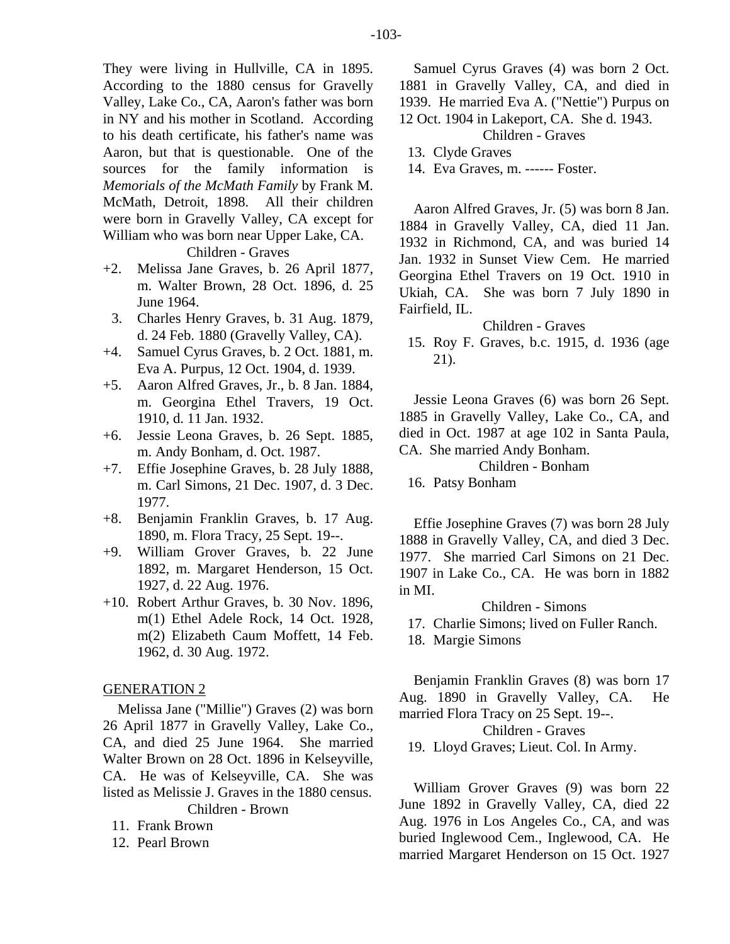They were living in Hullville, CA in 1895. According to the 1880 census for Gravelly Valley, Lake Co., CA, Aaron's father was born in NY and his mother in Scotland. According to his death certificate, his father's name was Aaron, but that is questionable. One of the sources for the family information is *Memorials of the McMath Family* by Frank M. McMath, Detroit, 1898. All their children were born in Gravelly Valley, CA except for William who was born near Upper Lake, CA. Children - Graves

- +2. Melissa Jane Graves, b. 26 April 1877, m. Walter Brown, 28 Oct. 1896, d. 25 June 1964.
- 3. Charles Henry Graves, b. 31 Aug. 1879, d. 24 Feb. 1880 (Gravelly Valley, CA).
- +4. Samuel Cyrus Graves, b. 2 Oct. 1881, m. Eva A. Purpus, 12 Oct. 1904, d. 1939.
- +5. Aaron Alfred Graves, Jr., b. 8 Jan. 1884, m. Georgina Ethel Travers, 19 Oct. 1910, d. 11 Jan. 1932.
- +6. Jessie Leona Graves, b. 26 Sept. 1885, m. Andy Bonham, d. Oct. 1987.
- +7. Effie Josephine Graves, b. 28 July 1888, m. Carl Simons, 21 Dec. 1907, d. 3 Dec. 1977.
- +8. Benjamin Franklin Graves, b. 17 Aug. 1890, m. Flora Tracy, 25 Sept. 19--.
- +9. William Grover Graves, b. 22 June 1892, m. Margaret Henderson, 15 Oct. 1927, d. 22 Aug. 1976.
- +10. Robert Arthur Graves, b. 30 Nov. 1896, m(1) Ethel Adele Rock, 14 Oct. 1928, m(2) Elizabeth Caum Moffett, 14 Feb. 1962, d. 30 Aug. 1972.

# GENERATION 2

Melissa Jane ("Millie") Graves (2) was born 26 April 1877 in Gravelly Valley, Lake Co., CA, and died 25 June 1964. She married Walter Brown on 28 Oct. 1896 in Kelseyville, CA. He was of Kelseyville, CA. She was listed as Melissie J. Graves in the 1880 census. Children - Brown

- 11. Frank Brown
- 12. Pearl Brown

Samuel Cyrus Graves (4) was born 2 Oct. 1881 in Gravelly Valley, CA, and died in 1939. He married Eva A. ("Nettie") Purpus on 12 Oct. 1904 in Lakeport, CA. She d. 1943.

Children - Graves

14. Eva Graves, m. ------ Foster.

Aaron Alfred Graves, Jr. (5) was born 8 Jan. 1884 in Gravelly Valley, CA, died 11 Jan. 1932 in Richmond, CA, and was buried 14 Jan. 1932 in Sunset View Cem. He married Georgina Ethel Travers on 19 Oct. 1910 in Ukiah, CA. She was born 7 July 1890 in Fairfield, IL.

Children - Graves

 15. Roy F. Graves, b.c. 1915, d. 1936 (age 21).

Jessie Leona Graves (6) was born 26 Sept. 1885 in Gravelly Valley, Lake Co., CA, and died in Oct. 1987 at age 102 in Santa Paula, CA. She married Andy Bonham.

Children - Bonham

16. Patsy Bonham

Effie Josephine Graves (7) was born 28 July 1888 in Gravelly Valley, CA, and died 3 Dec. 1977. She married Carl Simons on 21 Dec. 1907 in Lake Co., CA. He was born in 1882 in MI.

Children - Simons

17. Charlie Simons; lived on Fuller Ranch.

18. Margie Simons

Benjamin Franklin Graves (8) was born 17 Aug. 1890 in Gravelly Valley, CA. He married Flora Tracy on 25 Sept. 19--.

Children - Graves

19. Lloyd Graves; Lieut. Col. In Army.

William Grover Graves (9) was born 22 June 1892 in Gravelly Valley, CA, died 22 Aug. 1976 in Los Angeles Co., CA, and was buried Inglewood Cem., Inglewood, CA. He married Margaret Henderson on 15 Oct. 1927

 <sup>13.</sup> Clyde Graves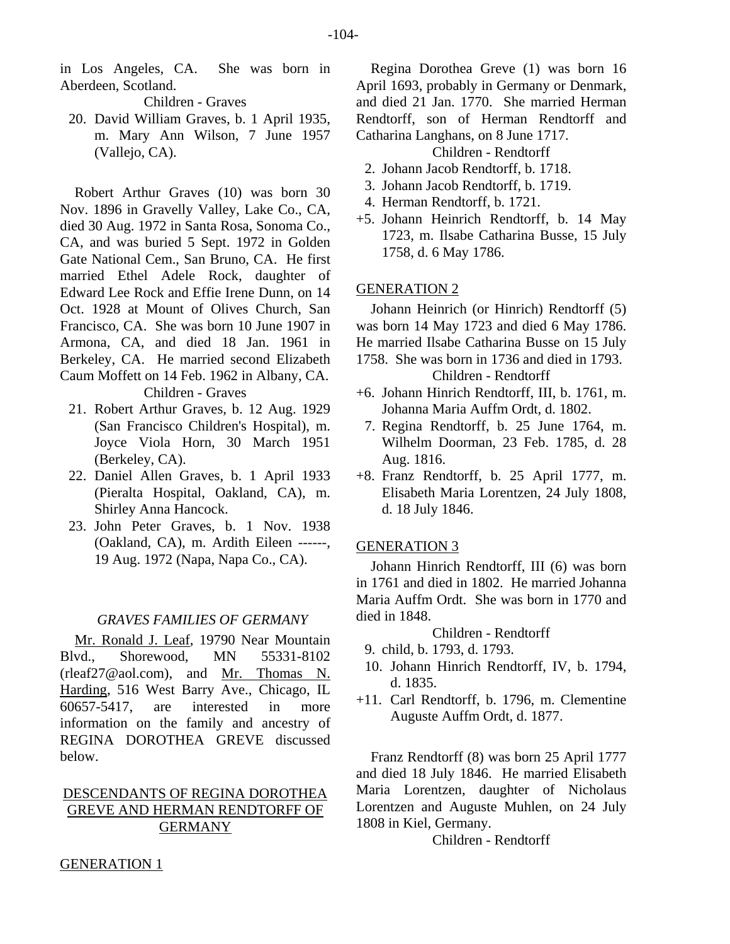in Los Angeles, CA. She was born in Aberdeen, Scotland.

Children - Graves

 20. David William Graves, b. 1 April 1935, m. Mary Ann Wilson, 7 June 1957 (Vallejo, CA).

Robert Arthur Graves (10) was born 30 Nov. 1896 in Gravelly Valley, Lake Co., CA, died 30 Aug. 1972 in Santa Rosa, Sonoma Co., CA, and was buried 5 Sept. 1972 in Golden Gate National Cem., San Bruno, CA. He first married Ethel Adele Rock, daughter of Edward Lee Rock and Effie Irene Dunn, on 14 Oct. 1928 at Mount of Olives Church, San Francisco, CA. She was born 10 June 1907 in Armona, CA, and died 18 Jan. 1961 in Berkeley, CA. He married second Elizabeth Caum Moffett on 14 Feb. 1962 in Albany, CA. Children - Graves

- 21. Robert Arthur Graves, b. 12 Aug. 1929 (San Francisco Children's Hospital), m. Joyce Viola Horn, 30 March 1951 (Berkeley, CA).
- 22. Daniel Allen Graves, b. 1 April 1933 (Pieralta Hospital, Oakland, CA), m. Shirley Anna Hancock.
- 23. John Peter Graves, b. 1 Nov. 1938 (Oakland, CA), m. Ardith Eileen ------, 19 Aug. 1972 (Napa, Napa Co., CA).

# *GRAVES FAMILIES OF GERMANY*

Mr. Ronald J. Leaf, 19790 Near Mountain Blvd., Shorewood, MN 55331-8102 (rleaf27@aol.com), and Mr. Thomas N. Harding, 516 West Barry Ave., Chicago, IL 60657-5417, are interested in more information on the family and ancestry of REGINA DOROTHEA GREVE discussed below.

# DESCENDANTS OF REGINA DOROTHEA GREVE AND HERMAN RENDTORFF OF **GERMANY**

Regina Dorothea Greve (1) was born 16 April 1693, probably in Germany or Denmark, and died 21 Jan. 1770. She married Herman Rendtorff, son of Herman Rendtorff and Catharina Langhans, on 8 June 1717.

Children - Rendtorff

- 2. Johann Jacob Rendtorff, b. 1718.
- 3. Johann Jacob Rendtorff, b. 1719.
- 4. Herman Rendtorff, b. 1721.
- +5. Johann Heinrich Rendtorff, b. 14 May 1723, m. Ilsabe Catharina Busse, 15 July 1758, d. 6 May 1786.

#### GENERATION 2

Johann Heinrich (or Hinrich) Rendtorff (5) was born 14 May 1723 and died 6 May 1786. He married Ilsabe Catharina Busse on 15 July 1758. She was born in 1736 and died in 1793.

Children - Rendtorff

- +6. Johann Hinrich Rendtorff, III, b. 1761, m. Johanna Maria Auffm Ordt, d. 1802.
	- 7. Regina Rendtorff, b. 25 June 1764, m. Wilhelm Doorman, 23 Feb. 1785, d. 28 Aug. 1816.
- +8. Franz Rendtorff, b. 25 April 1777, m. Elisabeth Maria Lorentzen, 24 July 1808, d. 18 July 1846.

## GENERATION 3

Johann Hinrich Rendtorff, III (6) was born in 1761 and died in 1802. He married Johanna Maria Auffm Ordt. She was born in 1770 and died in 1848.

### Children - Rendtorff

9. child, b. 1793, d. 1793.

- 10. Johann Hinrich Rendtorff, IV, b. 1794, d. 1835.
- +11. Carl Rendtorff, b. 1796, m. Clementine Auguste Auffm Ordt, d. 1877.

Franz Rendtorff (8) was born 25 April 1777 and died 18 July 1846. He married Elisabeth Maria Lorentzen, daughter of Nicholaus Lorentzen and Auguste Muhlen, on 24 July 1808 in Kiel, Germany.

Children - Rendtorff

#### GENERATION 1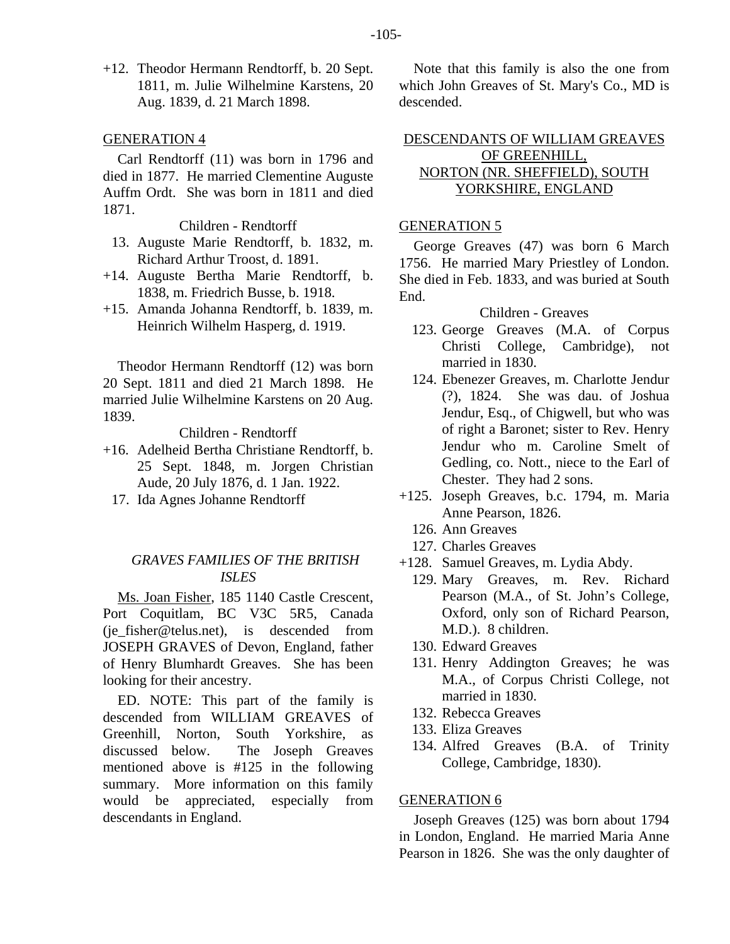+12. Theodor Hermann Rendtorff, b. 20 Sept. 1811, m. Julie Wilhelmine Karstens, 20 Aug. 1839, d. 21 March 1898.

## GENERATION 4

Carl Rendtorff (11) was born in 1796 and died in 1877. He married Clementine Auguste Auffm Ordt. She was born in 1811 and died 1871.

Children - Rendtorff

- 13. Auguste Marie Rendtorff, b. 1832, m. Richard Arthur Troost, d. 1891.
- +14. Auguste Bertha Marie Rendtorff, b. 1838, m. Friedrich Busse, b. 1918.
- +15. Amanda Johanna Rendtorff, b. 1839, m. Heinrich Wilhelm Hasperg, d. 1919.

Theodor Hermann Rendtorff (12) was born 20 Sept. 1811 and died 21 March 1898. He married Julie Wilhelmine Karstens on 20 Aug. 1839.

Children - Rendtorff

- +16. Adelheid Bertha Christiane Rendtorff, b. 25 Sept. 1848, m. Jorgen Christian Aude, 20 July 1876, d. 1 Jan. 1922.
	- 17. Ida Agnes Johanne Rendtorff

# *GRAVES FAMILIES OF THE BRITISH ISLES*

Ms. Joan Fisher, 185 1140 Castle Crescent, Port Coquitlam, BC V3C 5R5, Canada (ie fisher@telus.net), is descended from JOSEPH GRAVES of Devon, England, father of Henry Blumhardt Greaves. She has been looking for their ancestry.

ED. NOTE: This part of the family is descended from WILLIAM GREAVES of Greenhill, Norton, South Yorkshire, as discussed below. The Joseph Greaves mentioned above is #125 in the following summary. More information on this family would be appreciated, especially from descendants in England.

Note that this family is also the one from which John Greaves of St. Mary's Co., MD is descended.

# DESCENDANTS OF WILLIAM GREAVES OF GREENHILL, NORTON (NR. SHEFFIELD), SOUTH YORKSHIRE, ENGLAND

## GENERATION 5

George Greaves (47) was born 6 March 1756. He married Mary Priestley of London. She died in Feb. 1833, and was buried at South End.

#### Children - Greaves

- 123. George Greaves (M.A. of Corpus Christi College, Cambridge), not married in 1830.
- 124. Ebenezer Greaves, m. Charlotte Jendur (?), 1824. She was dau. of Joshua Jendur, Esq., of Chigwell, but who was of right a Baronet; sister to Rev. Henry Jendur who m. Caroline Smelt of Gedling, co. Nott., niece to the Earl of Chester. They had 2 sons.
- +125. Joseph Greaves, b.c. 1794, m. Maria Anne Pearson, 1826.
	- 126. Ann Greaves
	- 127. Charles Greaves
- +128. Samuel Greaves, m. Lydia Abdy.
	- 129. Mary Greaves, m. Rev. Richard Pearson (M.A., of St. John's College, Oxford, only son of Richard Pearson, M.D.). 8 children.
	- 130. Edward Greaves
	- 131. Henry Addington Greaves; he was M.A., of Corpus Christi College, not married in 1830.
	- 132. Rebecca Greaves
	- 133. Eliza Greaves
	- 134. Alfred Greaves (B.A. of Trinity College, Cambridge, 1830).

## GENERATION 6

Joseph Greaves (125) was born about 1794 in London, England. He married Maria Anne Pearson in 1826. She was the only daughter of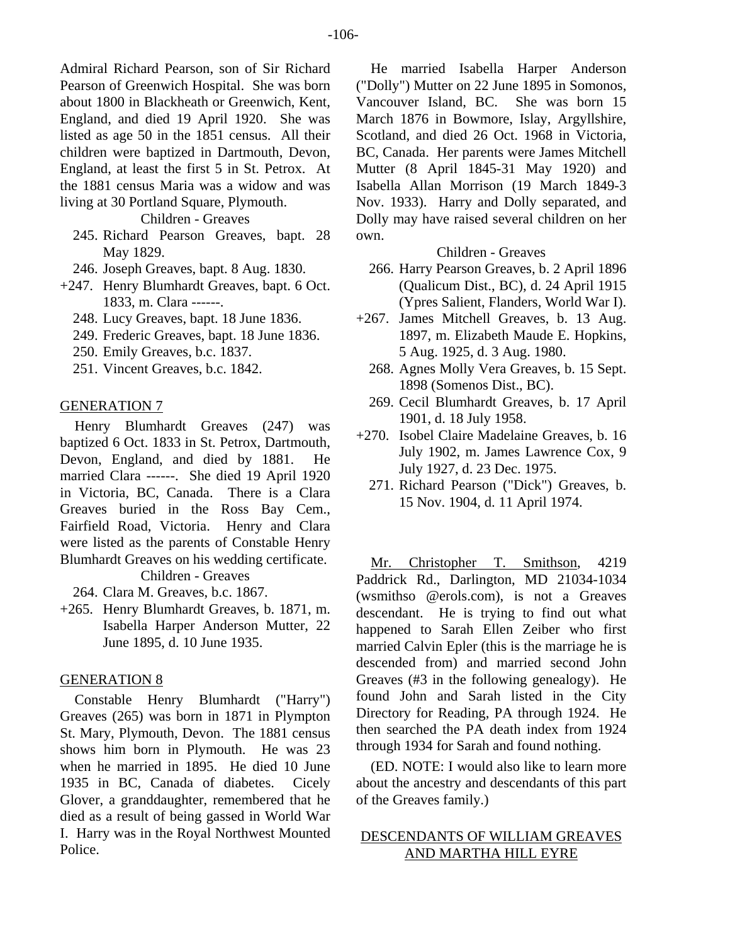Admiral Richard Pearson, son of Sir Richard Pearson of Greenwich Hospital. She was born about 1800 in Blackheath or Greenwich, Kent, England, and died 19 April 1920. She was listed as age 50 in the 1851 census. All their children were baptized in Dartmouth, Devon, England, at least the first 5 in St. Petrox. At the 1881 census Maria was a widow and was living at 30 Portland Square, Plymouth.

# Children - Greaves

- 245. Richard Pearson Greaves, bapt. 28 May 1829.
- 246. Joseph Greaves, bapt. 8 Aug. 1830.
- +247. Henry Blumhardt Greaves, bapt. 6 Oct. 1833, m. Clara ------.
	- 248. Lucy Greaves, bapt. 18 June 1836.
	- 249. Frederic Greaves, bapt. 18 June 1836.
	- 250. Emily Greaves, b.c. 1837.
	- 251. Vincent Greaves, b.c. 1842.

#### GENERATION 7

Henry Blumhardt Greaves (247) was baptized 6 Oct. 1833 in St. Petrox, Dartmouth, Devon, England, and died by 1881. He married Clara ------. She died 19 April 1920 in Victoria, BC, Canada. There is a Clara Greaves buried in the Ross Bay Cem., Fairfield Road, Victoria. Henry and Clara were listed as the parents of Constable Henry Blumhardt Greaves on his wedding certificate.

Children - Greaves

264. Clara M. Greaves, b.c. 1867.

+265. Henry Blumhardt Greaves, b. 1871, m. Isabella Harper Anderson Mutter, 22 June 1895, d. 10 June 1935.

#### GENERATION 8

Constable Henry Blumhardt ("Harry") Greaves (265) was born in 1871 in Plympton St. Mary, Plymouth, Devon. The 1881 census shows him born in Plymouth. He was 23 when he married in 1895. He died 10 June 1935 in BC, Canada of diabetes. Cicely Glover, a granddaughter, remembered that he died as a result of being gassed in World War I. Harry was in the Royal Northwest Mounted Police.

He married Isabella Harper Anderson ("Dolly") Mutter on 22 June 1895 in Somonos, Vancouver Island, BC. She was born 15 March 1876 in Bowmore, Islay, Argyllshire, Scotland, and died 26 Oct. 1968 in Victoria, BC, Canada. Her parents were James Mitchell Mutter (8 April 1845-31 May 1920) and Isabella Allan Morrison (19 March 1849-3 Nov. 1933). Harry and Dolly separated, and Dolly may have raised several children on her own.

## Children - Greaves

- 266. Harry Pearson Greaves, b. 2 April 1896 (Qualicum Dist., BC), d. 24 April 1915 (Ypres Salient, Flanders, World War I).
- +267. James Mitchell Greaves, b. 13 Aug. 1897, m. Elizabeth Maude E. Hopkins, 5 Aug. 1925, d. 3 Aug. 1980.
	- 268. Agnes Molly Vera Greaves, b. 15 Sept. 1898 (Somenos Dist., BC).
	- 269. Cecil Blumhardt Greaves, b. 17 April 1901, d. 18 July 1958.
- +270. Isobel Claire Madelaine Greaves, b. 16 July 1902, m. James Lawrence Cox, 9 July 1927, d. 23 Dec. 1975.
	- 271. Richard Pearson ("Dick") Greaves, b. 15 Nov. 1904, d. 11 April 1974.

Mr. Christopher T. Smithson, 4219 Paddrick Rd., Darlington, MD 21034-1034 (wsmithso @erols.com), is not a Greaves descendant. He is trying to find out what happened to Sarah Ellen Zeiber who first married Calvin Epler (this is the marriage he is descended from) and married second John Greaves (#3 in the following genealogy). He found John and Sarah listed in the City Directory for Reading, PA through 1924. He then searched the PA death index from 1924 through 1934 for Sarah and found nothing.

(ED. NOTE: I would also like to learn more about the ancestry and descendants of this part of the Greaves family.)

# DESCENDANTS OF WILLIAM GREAVES AND MARTHA HILL EYRE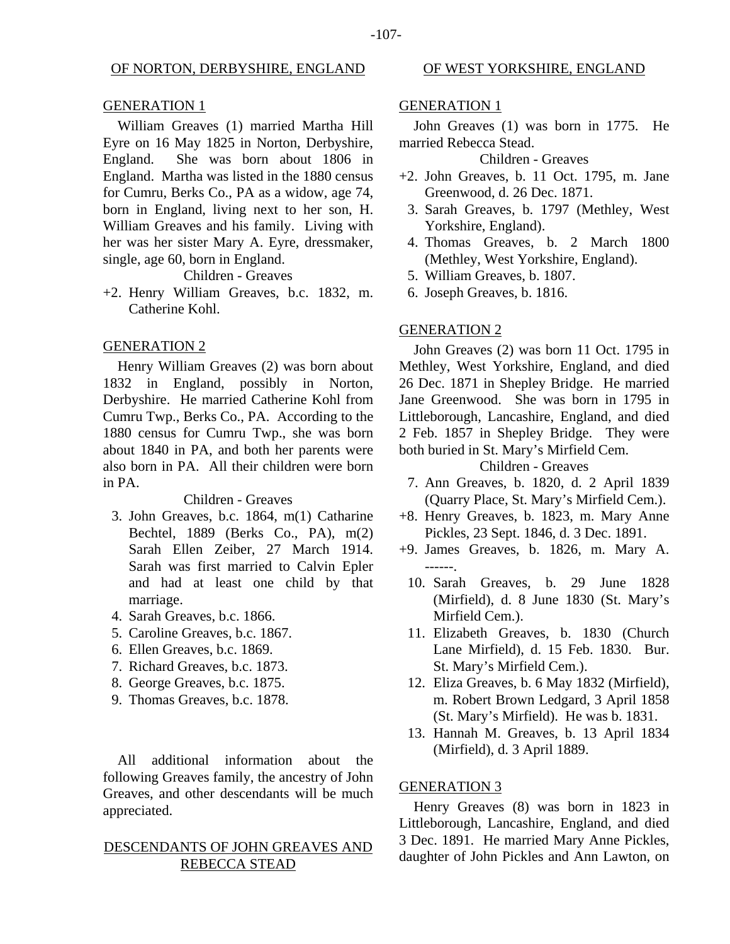#### OF NORTON, DERBYSHIRE, ENGLAND

#### GENERATION 1

William Greaves (1) married Martha Hill Eyre on 16 May 1825 in Norton, Derbyshire, England. She was born about 1806 in England. Martha was listed in the 1880 census for Cumru, Berks Co., PA as a widow, age 74, born in England, living next to her son, H. William Greaves and his family. Living with her was her sister Mary A. Eyre, dressmaker, single, age 60, born in England.

Children - Greaves

+2. Henry William Greaves, b.c. 1832, m. Catherine Kohl.

#### GENERATION 2

Henry William Greaves (2) was born about 1832 in England, possibly in Norton, Derbyshire. He married Catherine Kohl from Cumru Twp., Berks Co., PA. According to the 1880 census for Cumru Twp., she was born about 1840 in PA, and both her parents were also born in PA. All their children were born in PA.

#### Children - Greaves

- 3. John Greaves, b.c. 1864, m(1) Catharine Bechtel, 1889 (Berks Co., PA), m(2) Sarah Ellen Zeiber, 27 March 1914. Sarah was first married to Calvin Epler and had at least one child by that marriage.
- 4. Sarah Greaves, b.c. 1866.
- 5. Caroline Greaves, b.c. 1867.
- 6. Ellen Greaves, b.c. 1869.
- 7. Richard Greaves, b.c. 1873.
- 8. George Greaves, b.c. 1875.
- 9. Thomas Greaves, b.c. 1878.

All additional information about the following Greaves family, the ancestry of John Greaves, and other descendants will be much appreciated.

# DESCENDANTS OF JOHN GREAVES AND REBECCA STEAD

#### OF WEST YORKSHIRE, ENGLAND

#### GENERATION 1

John Greaves (1) was born in 1775. He married Rebecca Stead.

# Children - Greaves

- +2. John Greaves, b. 11 Oct. 1795, m. Jane Greenwood, d. 26 Dec. 1871.
	- 3. Sarah Greaves, b. 1797 (Methley, West Yorkshire, England).
- 4. Thomas Greaves, b. 2 March 1800 (Methley, West Yorkshire, England).
- 5. William Greaves, b. 1807.
- 6. Joseph Greaves, b. 1816.

#### GENERATION 2

John Greaves (2) was born 11 Oct. 1795 in Methley, West Yorkshire, England, and died 26 Dec. 1871 in Shepley Bridge. He married Jane Greenwood. She was born in 1795 in Littleborough, Lancashire, England, and died 2 Feb. 1857 in Shepley Bridge. They were both buried in St. Mary's Mirfield Cem.

Children - Greaves

- 7. Ann Greaves, b. 1820, d. 2 April 1839 (Quarry Place, St. Mary's Mirfield Cem.).
- +8. Henry Greaves, b. 1823, m. Mary Anne Pickles, 23 Sept. 1846, d. 3 Dec. 1891.
- +9. James Greaves, b. 1826, m. Mary A. ------.
	- 10. Sarah Greaves, b. 29 June 1828 (Mirfield), d. 8 June 1830 (St. Mary's Mirfield Cem.).
	- 11. Elizabeth Greaves, b. 1830 (Church Lane Mirfield), d. 15 Feb. 1830. Bur. St. Mary's Mirfield Cem.).
	- 12. Eliza Greaves, b. 6 May 1832 (Mirfield), m. Robert Brown Ledgard, 3 April 1858 (St. Mary's Mirfield). He was b. 1831.
	- 13. Hannah M. Greaves, b. 13 April 1834 (Mirfield), d. 3 April 1889.

#### GENERATION 3

Henry Greaves (8) was born in 1823 in Littleborough, Lancashire, England, and died 3 Dec. 1891. He married Mary Anne Pickles, daughter of John Pickles and Ann Lawton, on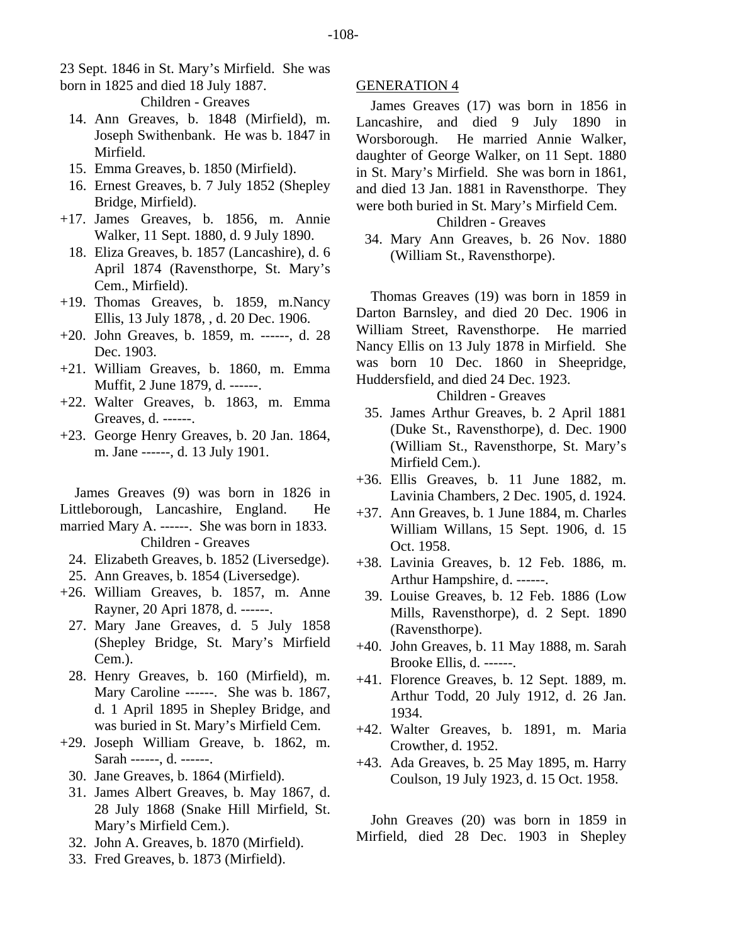23 Sept. 1846 in St. Mary's Mirfield. She was born in 1825 and died 18 July 1887.

Children - Greaves

- 14. Ann Greaves, b. 1848 (Mirfield), m. Joseph Swithenbank. He was b. 1847 in Mirfield.
- 15. Emma Greaves, b. 1850 (Mirfield).
- 16. Ernest Greaves, b. 7 July 1852 (Shepley Bridge, Mirfield).
- +17. James Greaves, b. 1856, m. Annie Walker, 11 Sept. 1880, d. 9 July 1890.
	- 18. Eliza Greaves, b. 1857 (Lancashire), d. 6 April 1874 (Ravensthorpe, St. Mary's Cem., Mirfield).
- +19. Thomas Greaves, b. 1859, m.Nancy Ellis, 13 July 1878, , d. 20 Dec. 1906.
- +20. John Greaves, b. 1859, m. ------, d. 28 Dec. 1903.
- +21. William Greaves, b. 1860, m. Emma Muffit, 2 June 1879, d. ------.
- +22. Walter Greaves, b. 1863, m. Emma Greaves, d. ------.
- +23. George Henry Greaves, b. 20 Jan. 1864, m. Jane ------, d. 13 July 1901.

James Greaves (9) was born in 1826 in Littleborough, Lancashire, England. He married Mary A. ------. She was born in 1833. Children - Greaves

- 24. Elizabeth Greaves, b. 1852 (Liversedge).
- 25. Ann Greaves, b. 1854 (Liversedge).
- +26. William Greaves, b. 1857, m. Anne Rayner, 20 Apri 1878, d. ------.
- 27. Mary Jane Greaves, d. 5 July 1858 (Shepley Bridge, St. Mary's Mirfield Cem.).
- 28. Henry Greaves, b. 160 (Mirfield), m. Mary Caroline ------. She was b. 1867, d. 1 April 1895 in Shepley Bridge, and was buried in St. Mary's Mirfield Cem.
- +29. Joseph William Greave, b. 1862, m. Sarah ------, d. ------.
	- 30. Jane Greaves, b. 1864 (Mirfield).
	- 31. James Albert Greaves, b. May 1867, d. 28 July 1868 (Snake Hill Mirfield, St. Mary's Mirfield Cem.).
	- 32. John A. Greaves, b. 1870 (Mirfield).
	- 33. Fred Greaves, b. 1873 (Mirfield).

# GENERATION 4

James Greaves (17) was born in 1856 in Lancashire, and died 9 July 1890 in Worsborough. He married Annie Walker, daughter of George Walker, on 11 Sept. 1880 in St. Mary's Mirfield. She was born in 1861, and died 13 Jan. 1881 in Ravensthorpe. They were both buried in St. Mary's Mirfield Cem.

# Children - Greaves

 34. Mary Ann Greaves, b. 26 Nov. 1880 (William St., Ravensthorpe).

Thomas Greaves (19) was born in 1859 in Darton Barnsley, and died 20 Dec. 1906 in William Street, Ravensthorpe. He married Nancy Ellis on 13 July 1878 in Mirfield. She was born 10 Dec. 1860 in Sheepridge, Huddersfield, and died 24 Dec. 1923.

Children - Greaves

- 35. James Arthur Greaves, b. 2 April 1881 (Duke St., Ravensthorpe), d. Dec. 1900 (William St., Ravensthorpe, St. Mary's Mirfield Cem.).
- +36. Ellis Greaves, b. 11 June 1882, m. Lavinia Chambers, 2 Dec. 1905, d. 1924.
- +37. Ann Greaves, b. 1 June 1884, m. Charles William Willans, 15 Sept. 1906, d. 15 Oct. 1958.
- +38. Lavinia Greaves, b. 12 Feb. 1886, m. Arthur Hampshire, d. ------.
- 39. Louise Greaves, b. 12 Feb. 1886 (Low Mills, Ravensthorpe), d. 2 Sept. 1890 (Ravensthorpe).
- +40. John Greaves, b. 11 May 1888, m. Sarah Brooke Ellis, d. ------.
- +41. Florence Greaves, b. 12 Sept. 1889, m. Arthur Todd, 20 July 1912, d. 26 Jan. 1934.
- +42. Walter Greaves, b. 1891, m. Maria Crowther, d. 1952.
- +43. Ada Greaves, b. 25 May 1895, m. Harry Coulson, 19 July 1923, d. 15 Oct. 1958.

John Greaves (20) was born in 1859 in Mirfield, died 28 Dec. 1903 in Shepley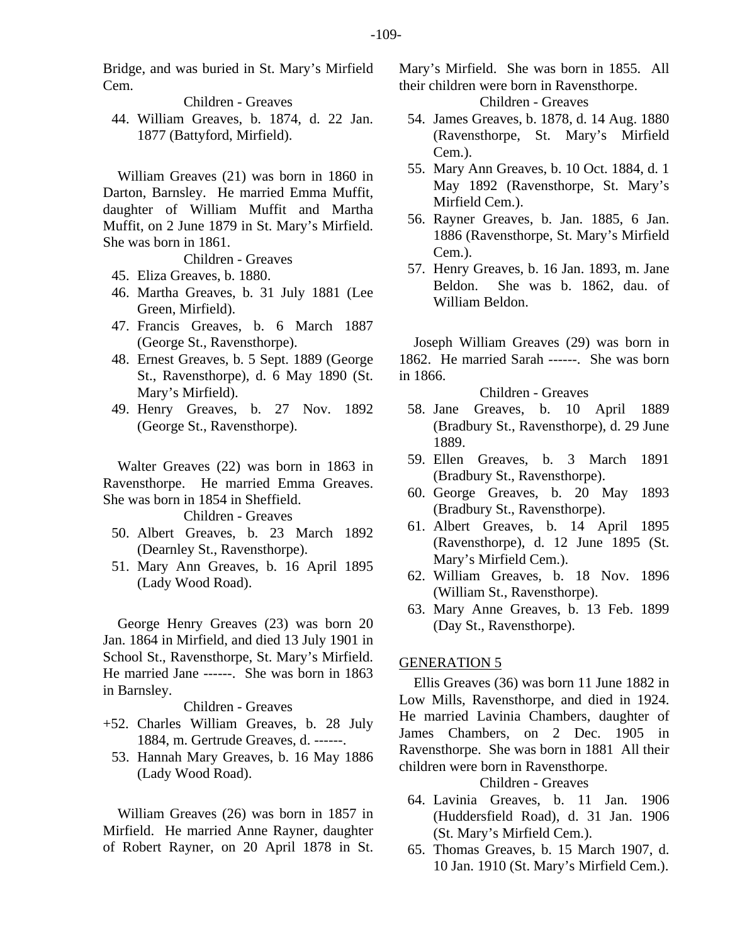Bridge, and was buried in St. Mary's Mirfield Cem.

Children - Greaves

 44. William Greaves, b. 1874, d. 22 Jan. 1877 (Battyford, Mirfield).

William Greaves (21) was born in 1860 in Darton, Barnsley. He married Emma Muffit, daughter of William Muffit and Martha Muffit, on 2 June 1879 in St. Mary's Mirfield. She was born in 1861.

Children - Greaves

- 45. Eliza Greaves, b. 1880.
- 46. Martha Greaves, b. 31 July 1881 (Lee Green, Mirfield).
- 47. Francis Greaves, b. 6 March 1887 (George St., Ravensthorpe).
- 48. Ernest Greaves, b. 5 Sept. 1889 (George St., Ravensthorpe), d. 6 May 1890 (St. Mary's Mirfield).
- 49. Henry Greaves, b. 27 Nov. 1892 (George St., Ravensthorpe).

Walter Greaves (22) was born in 1863 in Ravensthorpe. He married Emma Greaves. She was born in 1854 in Sheffield.

Children - Greaves

- 50. Albert Greaves, b. 23 March 1892 (Dearnley St., Ravensthorpe).
- 51. Mary Ann Greaves, b. 16 April 1895 (Lady Wood Road).

George Henry Greaves (23) was born 20 Jan. 1864 in Mirfield, and died 13 July 1901 in School St., Ravensthorpe, St. Mary's Mirfield. He married Jane ------. She was born in 1863 in Barnsley.

## Children - Greaves

- +52. Charles William Greaves, b. 28 July 1884, m. Gertrude Greaves, d. ------.
	- 53. Hannah Mary Greaves, b. 16 May 1886 (Lady Wood Road).

William Greaves (26) was born in 1857 in Mirfield. He married Anne Rayner, daughter of Robert Rayner, on 20 April 1878 in St. Mary's Mirfield. She was born in 1855. All their children were born in Ravensthorpe.

Children - Greaves

- 54. James Greaves, b. 1878, d. 14 Aug. 1880 (Ravensthorpe, St. Mary's Mirfield Cem.).
- 55. Mary Ann Greaves, b. 10 Oct. 1884, d. 1 May 1892 (Ravensthorpe, St. Mary's Mirfield Cem.).
- 56. Rayner Greaves, b. Jan. 1885, 6 Jan. 1886 (Ravensthorpe, St. Mary's Mirfield Cem.).
- 57. Henry Greaves, b. 16 Jan. 1893, m. Jane Beldon. She was b. 1862, dau. of William Beldon.

Joseph William Greaves (29) was born in 1862. He married Sarah ------. She was born in 1866.

Children - Greaves

- 58. Jane Greaves, b. 10 April 1889 (Bradbury St., Ravensthorpe), d. 29 June 1889.
- 59. Ellen Greaves, b. 3 March 1891 (Bradbury St., Ravensthorpe).
- 60. George Greaves, b. 20 May 1893 (Bradbury St., Ravensthorpe).
- 61. Albert Greaves, b. 14 April 1895 (Ravensthorpe), d. 12 June 1895 (St. Mary's Mirfield Cem.).
- 62. William Greaves, b. 18 Nov. 1896 (William St., Ravensthorpe).
- 63. Mary Anne Greaves, b. 13 Feb. 1899 (Day St., Ravensthorpe).

## GENERATION 5

Ellis Greaves (36) was born 11 June 1882 in Low Mills, Ravensthorpe, and died in 1924. He married Lavinia Chambers, daughter of James Chambers, on 2 Dec. 1905 in Ravensthorpe. She was born in 1881 All their children were born in Ravensthorpe.

Children - Greaves

- 64. Lavinia Greaves, b. 11 Jan. 1906 (Huddersfield Road), d. 31 Jan. 1906 (St. Mary's Mirfield Cem.).
- 65. Thomas Greaves, b. 15 March 1907, d. 10 Jan. 1910 (St. Mary's Mirfield Cem.).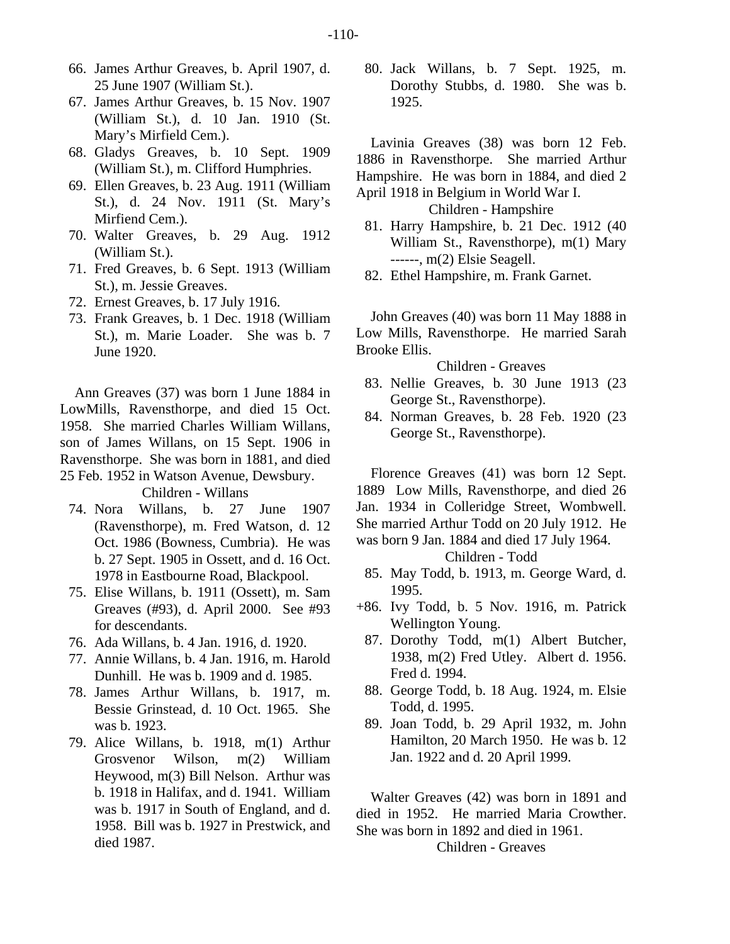- 66. James Arthur Greaves, b. April 1907, d. 25 June 1907 (William St.).
- 67. James Arthur Greaves, b. 15 Nov. 1907 (William St.), d. 10 Jan. 1910 (St. Mary's Mirfield Cem.).
- 68. Gladys Greaves, b. 10 Sept. 1909 (William St.), m. Clifford Humphries.
- 69. Ellen Greaves, b. 23 Aug. 1911 (William St.), d. 24 Nov. 1911 (St. Mary's Mirfiend Cem.).
- 70. Walter Greaves, b. 29 Aug. 1912 (William St.).
- 71. Fred Greaves, b. 6 Sept. 1913 (William St.), m. Jessie Greaves.
- 72. Ernest Greaves, b. 17 July 1916.
- 73. Frank Greaves, b. 1 Dec. 1918 (William St.), m. Marie Loader. She was b. 7 June 1920.

Ann Greaves (37) was born 1 June 1884 in LowMills, Ravensthorpe, and died 15 Oct. 1958. She married Charles William Willans, son of James Willans, on 15 Sept. 1906 in Ravensthorpe. She was born in 1881, and died 25 Feb. 1952 in Watson Avenue, Dewsbury.

Children - Willans

- 74. Nora Willans, b. 27 June 1907 (Ravensthorpe), m. Fred Watson, d. 12 Oct. 1986 (Bowness, Cumbria). He was b. 27 Sept. 1905 in Ossett, and d. 16 Oct. 1978 in Eastbourne Road, Blackpool.
- 75. Elise Willans, b. 1911 (Ossett), m. Sam Greaves (#93), d. April 2000. See #93 for descendants.
- 76. Ada Willans, b. 4 Jan. 1916, d. 1920.
- 77. Annie Willans, b. 4 Jan. 1916, m. Harold Dunhill. He was b. 1909 and d. 1985.
- 78. James Arthur Willans, b. 1917, m. Bessie Grinstead, d. 10 Oct. 1965. She was b. 1923.
- 79. Alice Willans, b. 1918, m(1) Arthur Grosvenor Wilson, m(2) William Heywood, m(3) Bill Nelson. Arthur was b. 1918 in Halifax, and d. 1941. William was b. 1917 in South of England, and d. 1958. Bill was b. 1927 in Prestwick, and died 1987.

 80. Jack Willans, b. 7 Sept. 1925, m. Dorothy Stubbs, d. 1980. She was b. 1925.

Lavinia Greaves (38) was born 12 Feb. 1886 in Ravensthorpe. She married Arthur Hampshire. He was born in 1884, and died 2 April 1918 in Belgium in World War I.

Children - Hampshire

- 81. Harry Hampshire, b. 21 Dec. 1912 (40 William St., Ravensthorpe), m(1) Mary ------, m(2) Elsie Seagell.
- 82. Ethel Hampshire, m. Frank Garnet.

John Greaves (40) was born 11 May 1888 in Low Mills, Ravensthorpe. He married Sarah Brooke Ellis.

Children - Greaves

- 83. Nellie Greaves, b. 30 June 1913 (23 George St., Ravensthorpe).
- 84. Norman Greaves, b. 28 Feb. 1920 (23 George St., Ravensthorpe).

Florence Greaves (41) was born 12 Sept. 1889 Low Mills, Ravensthorpe, and died 26 Jan. 1934 in Colleridge Street, Wombwell. She married Arthur Todd on 20 July 1912. He was born 9 Jan. 1884 and died 17 July 1964.

#### Children - Todd

- 85. May Todd, b. 1913, m. George Ward, d. 1995.
- +86. Ivy Todd, b. 5 Nov. 1916, m. Patrick Wellington Young.
	- 87. Dorothy Todd, m(1) Albert Butcher, 1938, m(2) Fred Utley. Albert d. 1956. Fred d. 1994.
	- 88. George Todd, b. 18 Aug. 1924, m. Elsie Todd, d. 1995.
	- 89. Joan Todd, b. 29 April 1932, m. John Hamilton, 20 March 1950. He was b. 12 Jan. 1922 and d. 20 April 1999.

Walter Greaves (42) was born in 1891 and died in 1952. He married Maria Crowther. She was born in 1892 and died in 1961.

Children - Greaves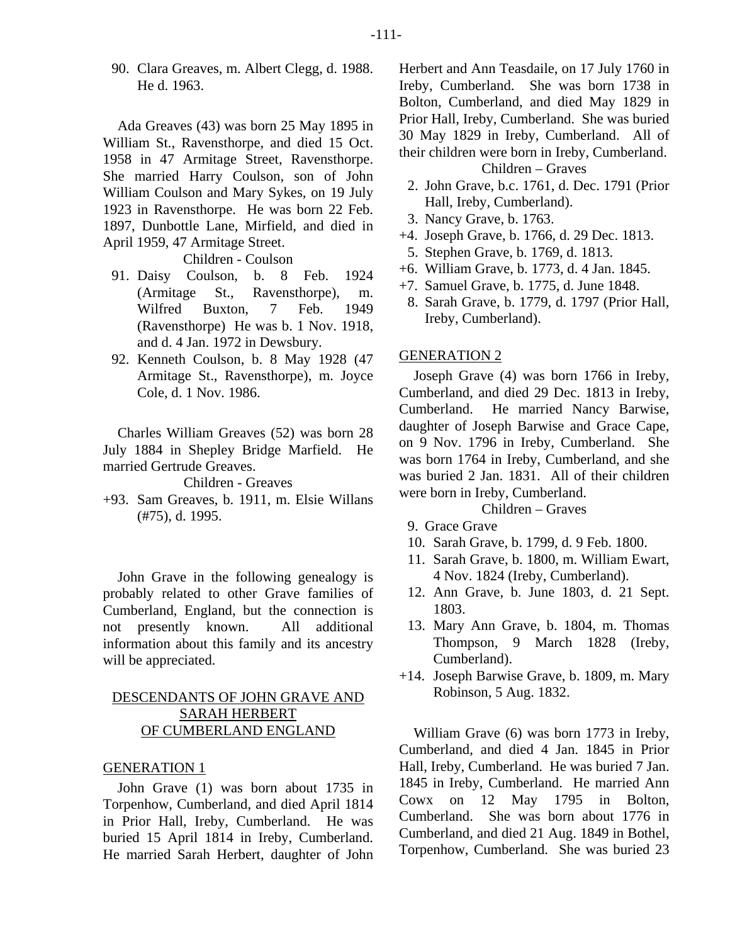90. Clara Greaves, m. Albert Clegg, d. 1988. He d. 1963.

Ada Greaves (43) was born 25 May 1895 in William St., Ravensthorpe, and died 15 Oct. 1958 in 47 Armitage Street, Ravensthorpe. She married Harry Coulson, son of John William Coulson and Mary Sykes, on 19 July 1923 in Ravensthorpe. He was born 22 Feb. 1897, Dunbottle Lane, Mirfield, and died in April 1959, 47 Armitage Street.

Children - Coulson

- 91. Daisy Coulson, b. 8 Feb. 1924 (Armitage St., Ravensthorpe), m. Wilfred Buxton, 7 Feb. 1949 (Ravensthorpe) He was b. 1 Nov. 1918, and d. 4 Jan. 1972 in Dewsbury.
- 92. Kenneth Coulson, b. 8 May 1928 (47 Armitage St., Ravensthorpe), m. Joyce Cole, d. 1 Nov. 1986.

Charles William Greaves (52) was born 28 July 1884 in Shepley Bridge Marfield. He married Gertrude Greaves.

Children - Greaves

+93. Sam Greaves, b. 1911, m. Elsie Willans (#75), d. 1995.

John Grave in the following genealogy is probably related to other Grave families of Cumberland, England, but the connection is not presently known. All additional information about this family and its ancestry will be appreciated.

# DESCENDANTS OF JOHN GRAVE AND SARAH HERBERT OF CUMBERLAND ENGLAND

## GENERATION 1

John Grave (1) was born about 1735 in Torpenhow, Cumberland, and died April 1814 in Prior Hall, Ireby, Cumberland. He was buried 15 April 1814 in Ireby, Cumberland. He married Sarah Herbert, daughter of John Herbert and Ann Teasdaile, on 17 July 1760 in Ireby, Cumberland. She was born 1738 in Bolton, Cumberland, and died May 1829 in Prior Hall, Ireby, Cumberland. She was buried 30 May 1829 in Ireby, Cumberland. All of their children were born in Ireby, Cumberland. Children – Graves

 2. John Grave, b.c. 1761, d. Dec. 1791 (Prior Hall, Ireby, Cumberland).

- 3. Nancy Grave, b. 1763.
- +4. Joseph Grave, b. 1766, d. 29 Dec. 1813. 5. Stephen Grave, b. 1769, d. 1813.
- +6. William Grave, b. 1773, d. 4 Jan. 1845.
- +7. Samuel Grave, b. 1775, d. June 1848.
	- 8. Sarah Grave, b. 1779, d. 1797 (Prior Hall, Ireby, Cumberland).

#### GENERATION 2

Joseph Grave (4) was born 1766 in Ireby, Cumberland, and died 29 Dec. 1813 in Ireby, Cumberland. He married Nancy Barwise, daughter of Joseph Barwise and Grace Cape, on 9 Nov. 1796 in Ireby, Cumberland. She was born 1764 in Ireby, Cumberland, and she was buried 2 Jan. 1831. All of their children were born in Ireby, Cumberland. Children – Graves

- 
- 9. Grace Grave
- 10. Sarah Grave, b. 1799, d. 9 Feb. 1800.
- 11. Sarah Grave, b. 1800, m. William Ewart, 4 Nov. 1824 (Ireby, Cumberland).
- 12. Ann Grave, b. June 1803, d. 21 Sept. 1803.
- 13. Mary Ann Grave, b. 1804, m. Thomas Thompson, 9 March 1828 (Ireby, Cumberland).
- +14. Joseph Barwise Grave, b. 1809, m. Mary Robinson, 5 Aug. 1832.

William Grave (6) was born 1773 in Ireby, Cumberland, and died 4 Jan. 1845 in Prior Hall, Ireby, Cumberland. He was buried 7 Jan. 1845 in Ireby, Cumberland. He married Ann Cowx on 12 May 1795 in Bolton, Cumberland. She was born about 1776 in Cumberland, and died 21 Aug. 1849 in Bothel, Torpenhow, Cumberland. She was buried 23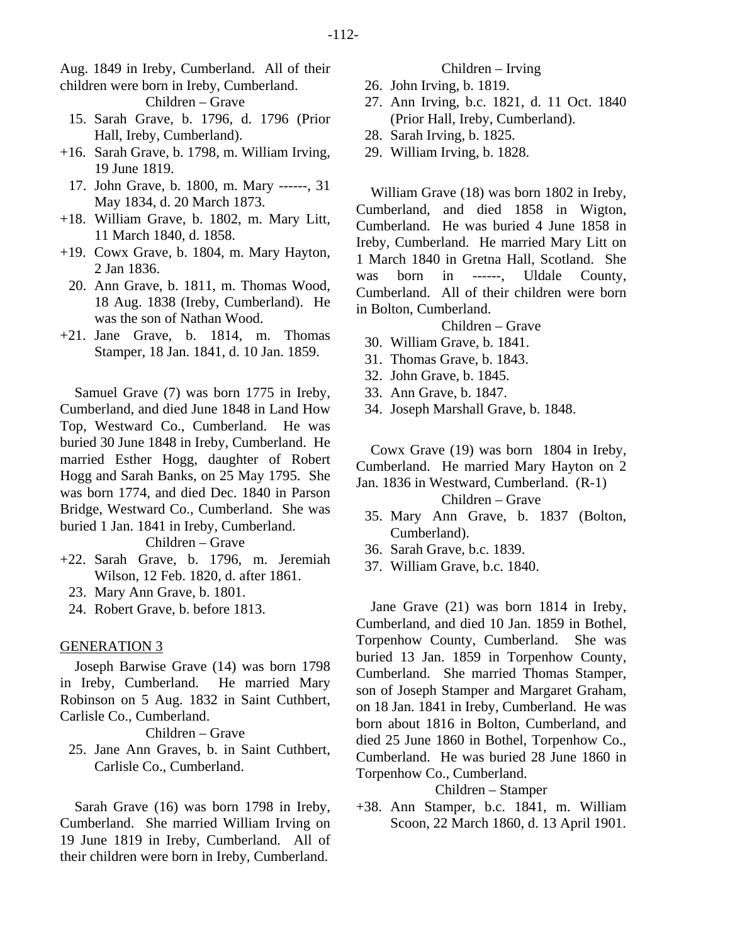Aug. 1849 in Ireby, Cumberland. All of their children were born in Ireby, Cumberland.

Children – Grave

- 15. Sarah Grave, b. 1796, d. 1796 (Prior Hall, Ireby, Cumberland).
- +16. Sarah Grave, b. 1798, m. William Irving, 19 June 1819.
	- 17. John Grave, b. 1800, m. Mary ------, 31 May 1834, d. 20 March 1873.
- +18. William Grave, b. 1802, m. Mary Litt, 11 March 1840, d. 1858.
- +19. Cowx Grave, b. 1804, m. Mary Hayton, 2 Jan 1836.
- 20. Ann Grave, b. 1811, m. Thomas Wood, 18 Aug. 1838 (Ireby, Cumberland). He was the son of Nathan Wood.
- +21. Jane Grave, b. 1814, m. Thomas Stamper, 18 Jan. 1841, d. 10 Jan. 1859.

Samuel Grave (7) was born 1775 in Ireby, Cumberland, and died June 1848 in Land How Top, Westward Co., Cumberland. He was buried 30 June 1848 in Ireby, Cumberland. He married Esther Hogg, daughter of Robert Hogg and Sarah Banks, on 25 May 1795. She was born 1774, and died Dec. 1840 in Parson Bridge, Westward Co., Cumberland. She was buried 1 Jan. 1841 in Ireby, Cumberland.

Children – Grave

- +22. Sarah Grave, b. 1796, m. Jeremiah Wilson, 12 Feb. 1820, d. after 1861.
	- 23. Mary Ann Grave, b. 1801.
	- 24. Robert Grave, b. before 1813.

#### GENERATION 3

Joseph Barwise Grave (14) was born 1798 in Ireby, Cumberland. He married Mary Robinson on 5 Aug. 1832 in Saint Cuthbert, Carlisle Co., Cumberland.

Children – Grave

 25. Jane Ann Graves, b. in Saint Cuthbert, Carlisle Co., Cumberland.

Sarah Grave (16) was born 1798 in Ireby, Cumberland. She married William Irving on 19 June 1819 in Ireby, Cumberland. All of their children were born in Ireby, Cumberland.

#### Children – Irving

- 26. John Irving, b. 1819.
- 27. Ann Irving, b.c. 1821, d. 11 Oct. 1840 (Prior Hall, Ireby, Cumberland).
- 28. Sarah Irving, b. 1825.
- 29. William Irving, b. 1828.

William Grave (18) was born 1802 in Ireby, Cumberland, and died 1858 in Wigton, Cumberland. He was buried 4 June 1858 in Ireby, Cumberland. He married Mary Litt on 1 March 1840 in Gretna Hall, Scotland. She was born in ------, Uldale County, Cumberland. All of their children were born in Bolton, Cumberland.

#### Children – Grave

- 30. William Grave, b. 1841.
- 31. Thomas Grave, b. 1843.
- 32. John Grave, b. 1845.
- 33. Ann Grave, b. 1847.
- 34. Joseph Marshall Grave, b. 1848.

Cowx Grave (19) was born 1804 in Ireby, Cumberland. He married Mary Hayton on 2 Jan. 1836 in Westward, Cumberland. (R-1)

Children – Grave

- 35. Mary Ann Grave, b. 1837 (Bolton, Cumberland).
- 36. Sarah Grave, b.c. 1839.
- 37. William Grave, b.c. 1840.

Jane Grave (21) was born 1814 in Ireby, Cumberland, and died 10 Jan. 1859 in Bothel, Torpenhow County, Cumberland. She was buried 13 Jan. 1859 in Torpenhow County, Cumberland. She married Thomas Stamper, son of Joseph Stamper and Margaret Graham, on 18 Jan. 1841 in Ireby, Cumberland. He was born about 1816 in Bolton, Cumberland, and died 25 June 1860 in Bothel, Torpenhow Co., Cumberland. He was buried 28 June 1860 in Torpenhow Co., Cumberland.

# Children – Stamper

+38. Ann Stamper, b.c. 1841, m. William Scoon, 22 March 1860, d. 13 April 1901.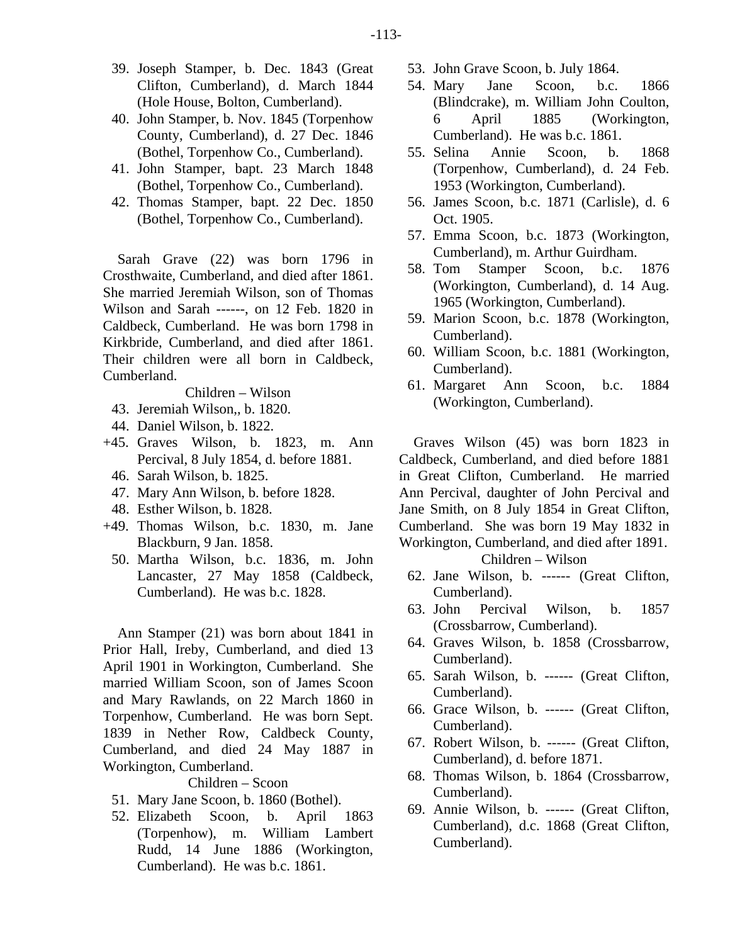- 39. Joseph Stamper, b. Dec. 1843 (Great Clifton, Cumberland), d. March 1844 (Hole House, Bolton, Cumberland).
- 40. John Stamper, b. Nov. 1845 (Torpenhow County, Cumberland), d. 27 Dec. 1846 (Bothel, Torpenhow Co., Cumberland).
- 41. John Stamper, bapt. 23 March 1848 (Bothel, Torpenhow Co., Cumberland).
- 42. Thomas Stamper, bapt. 22 Dec. 1850 (Bothel, Torpenhow Co., Cumberland).

Sarah Grave (22) was born 1796 in Crosthwaite, Cumberland, and died after 1861. She married Jeremiah Wilson, son of Thomas Wilson and Sarah ------, on 12 Feb. 1820 in Caldbeck, Cumberland. He was born 1798 in Kirkbride, Cumberland, and died after 1861. Their children were all born in Caldbeck, Cumberland.

Children – Wilson

- 43. Jeremiah Wilson,, b. 1820.
- 44. Daniel Wilson, b. 1822.
- +45. Graves Wilson, b. 1823, m. Ann Percival, 8 July 1854, d. before 1881.
	- 46. Sarah Wilson, b. 1825.
	- 47. Mary Ann Wilson, b. before 1828.
- 48. Esther Wilson, b. 1828.
- +49. Thomas Wilson, b.c. 1830, m. Jane Blackburn, 9 Jan. 1858.
	- 50. Martha Wilson, b.c. 1836, m. John Lancaster, 27 May 1858 (Caldbeck, Cumberland). He was b.c. 1828.

Ann Stamper (21) was born about 1841 in Prior Hall, Ireby, Cumberland, and died 13 April 1901 in Workington, Cumberland. She married William Scoon, son of James Scoon and Mary Rawlands, on 22 March 1860 in Torpenhow, Cumberland. He was born Sept. 1839 in Nether Row, Caldbeck County, Cumberland, and died 24 May 1887 in Workington, Cumberland.

Children – Scoon

- 51. Mary Jane Scoon, b. 1860 (Bothel).
- 52. Elizabeth Scoon, b. April 1863 (Torpenhow), m. William Lambert Rudd, 14 June 1886 (Workington, Cumberland). He was b.c. 1861.
- 53. John Grave Scoon, b. July 1864.
- 54. Mary Jane Scoon, b.c. 1866 (Blindcrake), m. William John Coulton, 6 April 1885 (Workington, Cumberland). He was b.c. 1861.
- 55. Selina Annie Scoon, b. 1868 (Torpenhow, Cumberland), d. 24 Feb. 1953 (Workington, Cumberland).
- 56. James Scoon, b.c. 1871 (Carlisle), d. 6 Oct. 1905.
- 57. Emma Scoon, b.c. 1873 (Workington, Cumberland), m. Arthur Guirdham.
- 58. Tom Stamper Scoon, b.c. 1876 (Workington, Cumberland), d. 14 Aug. 1965 (Workington, Cumberland).
- 59. Marion Scoon, b.c. 1878 (Workington, Cumberland).
- 60. William Scoon, b.c. 1881 (Workington, Cumberland).
- 61. Margaret Ann Scoon, b.c. 1884 (Workington, Cumberland).

Graves Wilson (45) was born 1823 in Caldbeck, Cumberland, and died before 1881 in Great Clifton, Cumberland. He married Ann Percival, daughter of John Percival and Jane Smith, on 8 July 1854 in Great Clifton, Cumberland. She was born 19 May 1832 in Workington, Cumberland, and died after 1891.

#### Children – Wilson

- 62. Jane Wilson, b. ------ (Great Clifton, Cumberland).
- 63. John Percival Wilson, b. 1857 (Crossbarrow, Cumberland).
- 64. Graves Wilson, b. 1858 (Crossbarrow, Cumberland).
- 65. Sarah Wilson, b. ------ (Great Clifton, Cumberland).
- 66. Grace Wilson, b. ------ (Great Clifton, Cumberland).
- 67. Robert Wilson, b. ------ (Great Clifton, Cumberland), d. before 1871.
- 68. Thomas Wilson, b. 1864 (Crossbarrow, Cumberland).
- 69. Annie Wilson, b. ------ (Great Clifton, Cumberland), d.c. 1868 (Great Clifton, Cumberland).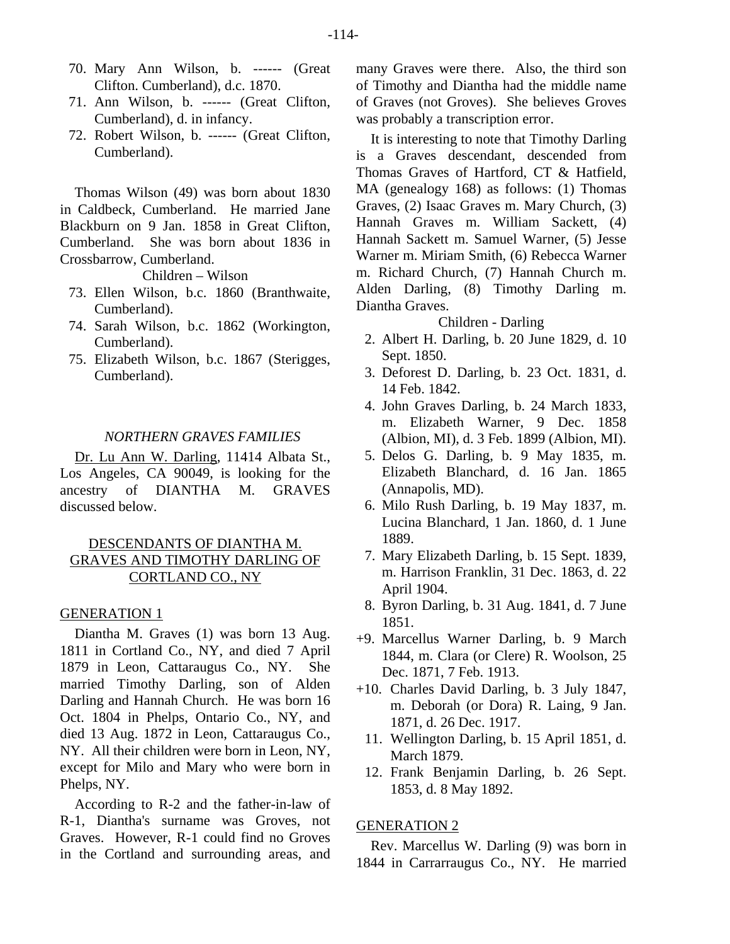- 70. Mary Ann Wilson, b. ------ (Great Clifton. Cumberland), d.c. 1870.
- 71. Ann Wilson, b. ------ (Great Clifton, Cumberland), d. in infancy.
- 72. Robert Wilson, b. ------ (Great Clifton, Cumberland).

Thomas Wilson (49) was born about 1830 in Caldbeck, Cumberland. He married Jane Blackburn on 9 Jan. 1858 in Great Clifton, Cumberland. She was born about 1836 in Crossbarrow, Cumberland.

Children – Wilson

- 73. Ellen Wilson, b.c. 1860 (Branthwaite, Cumberland).
- 74. Sarah Wilson, b.c. 1862 (Workington, Cumberland).
- 75. Elizabeth Wilson, b.c. 1867 (Sterigges, Cumberland).

#### *NORTHERN GRAVES FAMILIES*

Dr. Lu Ann W. Darling, 11414 Albata St., Los Angeles, CA 90049, is looking for the ancestry of DIANTHA M. GRAVES discussed below.

# DESCENDANTS OF DIANTHA M. GRAVES AND TIMOTHY DARLING OF CORTLAND CO., NY

#### GENERATION 1

Diantha M. Graves (1) was born 13 Aug. 1811 in Cortland Co., NY, and died 7 April 1879 in Leon, Cattaraugus Co., NY. She married Timothy Darling, son of Alden Darling and Hannah Church. He was born 16 Oct. 1804 in Phelps, Ontario Co., NY, and died 13 Aug. 1872 in Leon, Cattaraugus Co., NY. All their children were born in Leon, NY, except for Milo and Mary who were born in Phelps, NY.

According to R-2 and the father-in-law of R-1, Diantha's surname was Groves, not Graves. However, R-1 could find no Groves in the Cortland and surrounding areas, and many Graves were there. Also, the third son of Timothy and Diantha had the middle name of Graves (not Groves). She believes Groves was probably a transcription error.

It is interesting to note that Timothy Darling is a Graves descendant, descended from Thomas Graves of Hartford, CT & Hatfield, MA (genealogy 168) as follows: (1) Thomas Graves, (2) Isaac Graves m. Mary Church, (3) Hannah Graves m. William Sackett, (4) Hannah Sackett m. Samuel Warner, (5) Jesse Warner m. Miriam Smith, (6) Rebecca Warner m. Richard Church, (7) Hannah Church m. Alden Darling, (8) Timothy Darling m. Diantha Graves.

# Children - Darling

- 2. Albert H. Darling, b. 20 June 1829, d. 10 Sept. 1850.
- 3. Deforest D. Darling, b. 23 Oct. 1831, d. 14 Feb. 1842.
- 4. John Graves Darling, b. 24 March 1833, m. Elizabeth Warner, 9 Dec. 1858 (Albion, MI), d. 3 Feb. 1899 (Albion, MI).
- 5. Delos G. Darling, b. 9 May 1835, m. Elizabeth Blanchard, d. 16 Jan. 1865 (Annapolis, MD).
- 6. Milo Rush Darling, b. 19 May 1837, m. Lucina Blanchard, 1 Jan. 1860, d. 1 June 1889.
- 7. Mary Elizabeth Darling, b. 15 Sept. 1839, m. Harrison Franklin, 31 Dec. 1863, d. 22 April 1904.
- 8. Byron Darling, b. 31 Aug. 1841, d. 7 June 1851.
- +9. Marcellus Warner Darling, b. 9 March 1844, m. Clara (or Clere) R. Woolson, 25 Dec. 1871, 7 Feb. 1913.
- +10. Charles David Darling, b. 3 July 1847, m. Deborah (or Dora) R. Laing, 9 Jan. 1871, d. 26 Dec. 1917.
	- 11. Wellington Darling, b. 15 April 1851, d. March 1879.
	- 12. Frank Benjamin Darling, b. 26 Sept. 1853, d. 8 May 1892.

# GENERATION 2

Rev. Marcellus W. Darling (9) was born in 1844 in Carrarraugus Co., NY. He married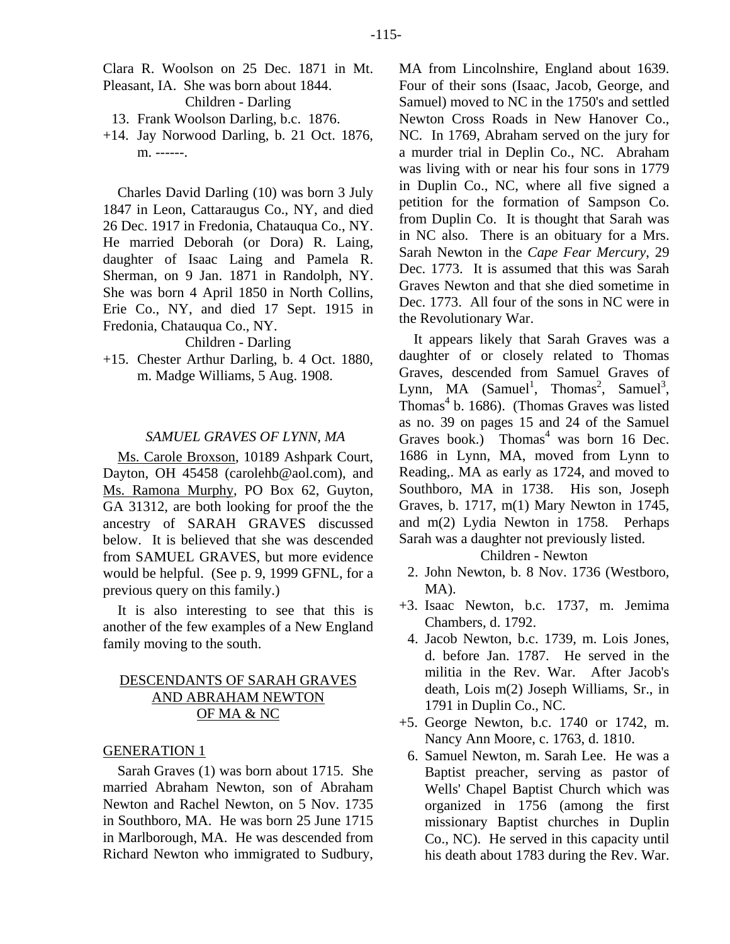Clara R. Woolson on 25 Dec. 1871 in Mt. Pleasant, IA. She was born about 1844. Children - Darling

- 13. Frank Woolson Darling, b.c. 1876.
- +14. Jay Norwood Darling, b. 21 Oct. 1876, m. ------.

Charles David Darling (10) was born 3 July 1847 in Leon, Cattaraugus Co., NY, and died 26 Dec. 1917 in Fredonia, Chatauqua Co., NY. He married Deborah (or Dora) R. Laing, daughter of Isaac Laing and Pamela R. Sherman, on 9 Jan. 1871 in Randolph, NY. She was born 4 April 1850 in North Collins, Erie Co., NY, and died 17 Sept. 1915 in Fredonia, Chatauqua Co., NY.

Children - Darling

+15. Chester Arthur Darling, b. 4 Oct. 1880, m. Madge Williams, 5 Aug. 1908.

## *SAMUEL GRAVES OF LYNN, MA*

Ms. Carole Broxson, 10189 Ashpark Court, Dayton, OH 45458 (carolehb@aol.com), and Ms. Ramona Murphy, PO Box 62, Guyton, GA 31312, are both looking for proof the the ancestry of SARAH GRAVES discussed below. It is believed that she was descended from SAMUEL GRAVES, but more evidence would be helpful. (See p. 9, 1999 GFNL, for a previous query on this family.)

It is also interesting to see that this is another of the few examples of a New England family moving to the south.

# DESCENDANTS OF SARAH GRAVES AND ABRAHAM NEWTON OF MA & NC

## GENERATION 1

Sarah Graves (1) was born about 1715. She married Abraham Newton, son of Abraham Newton and Rachel Newton, on 5 Nov. 1735 in Southboro, MA. He was born 25 June 1715 in Marlborough, MA. He was descended from Richard Newton who immigrated to Sudbury, MA from Lincolnshire, England about 1639. Four of their sons (Isaac, Jacob, George, and Samuel) moved to NC in the 1750's and settled Newton Cross Roads in New Hanover Co., NC. In 1769, Abraham served on the jury for a murder trial in Deplin Co., NC. Abraham was living with or near his four sons in 1779 in Duplin Co., NC, where all five signed a petition for the formation of Sampson Co. from Duplin Co. It is thought that Sarah was in NC also. There is an obituary for a Mrs. Sarah Newton in the *Cape Fear Mercury*, 29 Dec. 1773. It is assumed that this was Sarah Graves Newton and that she died sometime in Dec. 1773. All four of the sons in NC were in the Revolutionary War.

It appears likely that Sarah Graves was a daughter of or closely related to Thomas Graves, descended from Samuel Graves of Lynn, MA  $(Samuel<sup>1</sup>, Thomas<sup>2</sup>, Samuel<sup>3</sup>,)$ Thomas<sup>4</sup> b. 1686). (Thomas Graves was listed as no. 39 on pages 15 and 24 of the Samuel Graves book.) Thomas<sup>4</sup> was born 16 Dec. 1686 in Lynn, MA, moved from Lynn to Reading,. MA as early as 1724, and moved to Southboro, MA in 1738. His son, Joseph Graves, b. 1717, m(1) Mary Newton in 1745, and m(2) Lydia Newton in 1758. Perhaps Sarah was a daughter not previously listed.

#### Children - Newton

- 2. John Newton, b. 8 Nov. 1736 (Westboro, MA).
- +3. Isaac Newton, b.c. 1737, m. Jemima Chambers, d. 1792.
	- 4. Jacob Newton, b.c. 1739, m. Lois Jones, d. before Jan. 1787. He served in the militia in the Rev. War. After Jacob's death, Lois m(2) Joseph Williams, Sr., in 1791 in Duplin Co., NC.
- +5. George Newton, b.c. 1740 or 1742, m. Nancy Ann Moore, c. 1763, d. 1810.
	- 6. Samuel Newton, m. Sarah Lee. He was a Baptist preacher, serving as pastor of Wells' Chapel Baptist Church which was organized in 1756 (among the first missionary Baptist churches in Duplin Co., NC). He served in this capacity until his death about 1783 during the Rev. War.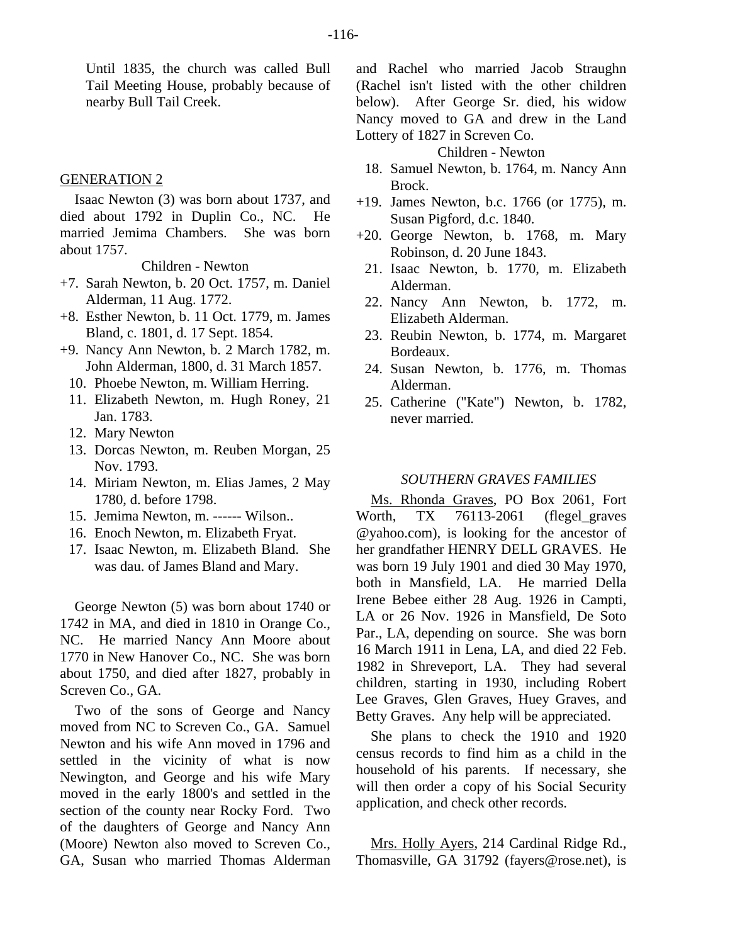Until 1835, the church was called Bull Tail Meeting House, probably because of nearby Bull Tail Creek.

## GENERATION 2

Isaac Newton (3) was born about 1737, and died about 1792 in Duplin Co., NC. He married Jemima Chambers. She was born about 1757.

Children - Newton

- +7. Sarah Newton, b. 20 Oct. 1757, m. Daniel Alderman, 11 Aug. 1772.
- +8. Esther Newton, b. 11 Oct. 1779, m. James Bland, c. 1801, d. 17 Sept. 1854.
- +9. Nancy Ann Newton, b. 2 March 1782, m. John Alderman, 1800, d. 31 March 1857.
	- 10. Phoebe Newton, m. William Herring.
	- 11. Elizabeth Newton, m. Hugh Roney, 21 Jan. 1783.
	- 12. Mary Newton
	- 13. Dorcas Newton, m. Reuben Morgan, 25 Nov. 1793.
	- 14. Miriam Newton, m. Elias James, 2 May 1780, d. before 1798.
	- 15. Jemima Newton, m. ------ Wilson..
	- 16. Enoch Newton, m. Elizabeth Fryat.
	- 17. Isaac Newton, m. Elizabeth Bland. She was dau. of James Bland and Mary.

George Newton (5) was born about 1740 or 1742 in MA, and died in 1810 in Orange Co., NC. He married Nancy Ann Moore about 1770 in New Hanover Co., NC. She was born about 1750, and died after 1827, probably in Screven Co., GA.

Two of the sons of George and Nancy moved from NC to Screven Co., GA. Samuel Newton and his wife Ann moved in 1796 and settled in the vicinity of what is now Newington, and George and his wife Mary moved in the early 1800's and settled in the section of the county near Rocky Ford. Two of the daughters of George and Nancy Ann (Moore) Newton also moved to Screven Co., GA, Susan who married Thomas Alderman and Rachel who married Jacob Straughn (Rachel isn't listed with the other children below). After George Sr. died, his widow Nancy moved to GA and drew in the Land Lottery of 1827 in Screven Co.

Children - Newton

- 18. Samuel Newton, b. 1764, m. Nancy Ann Brock.
- +19. James Newton, b.c. 1766 (or 1775), m. Susan Pigford, d.c. 1840.
- +20. George Newton, b. 1768, m. Mary Robinson, d. 20 June 1843.
- 21. Isaac Newton, b. 1770, m. Elizabeth Alderman.
- 22. Nancy Ann Newton, b. 1772, m. Elizabeth Alderman.
- 23. Reubin Newton, b. 1774, m. Margaret Bordeaux.
- 24. Susan Newton, b. 1776, m. Thomas Alderman.
- 25. Catherine ("Kate") Newton, b. 1782, never married.

#### *SOUTHERN GRAVES FAMILIES*

Ms. Rhonda Graves, PO Box 2061, Fort Worth, TX 76113-2061 (flegel\_graves @yahoo.com), is looking for the ancestor of her grandfather HENRY DELL GRAVES. He was born 19 July 1901 and died 30 May 1970, both in Mansfield, LA. He married Della Irene Bebee either 28 Aug. 1926 in Campti, LA or 26 Nov. 1926 in Mansfield, De Soto Par., LA, depending on source. She was born 16 March 1911 in Lena, LA, and died 22 Feb. 1982 in Shreveport, LA. They had several children, starting in 1930, including Robert Lee Graves, Glen Graves, Huey Graves, and Betty Graves. Any help will be appreciated.

She plans to check the 1910 and 1920 census records to find him as a child in the household of his parents. If necessary, she will then order a copy of his Social Security application, and check other records.

Mrs. Holly Ayers, 214 Cardinal Ridge Rd., Thomasville, GA 31792 (fayers@rose.net), is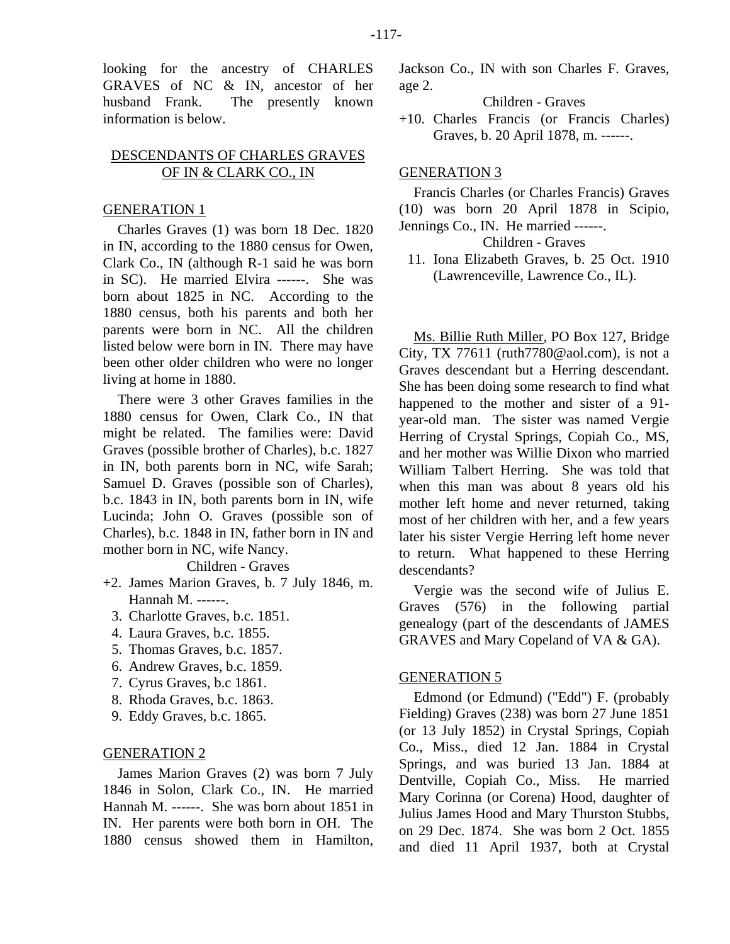looking for the ancestry of CHARLES GRAVES of NC & IN, ancestor of her husband Frank. The presently known information is below.

# DESCENDANTS OF CHARLES GRAVES OF IN & CLARK CO., IN

## GENERATION 1

Charles Graves (1) was born 18 Dec. 1820 in IN, according to the 1880 census for Owen, Clark Co., IN (although R-1 said he was born in SC). He married Elvira ------. She was born about 1825 in NC. According to the 1880 census, both his parents and both her parents were born in NC. All the children listed below were born in IN. There may have been other older children who were no longer living at home in 1880.

There were 3 other Graves families in the 1880 census for Owen, Clark Co., IN that might be related. The families were: David Graves (possible brother of Charles), b.c. 1827 in IN, both parents born in NC, wife Sarah; Samuel D. Graves (possible son of Charles), b.c. 1843 in IN, both parents born in IN, wife Lucinda; John O. Graves (possible son of Charles), b.c. 1848 in IN, father born in IN and mother born in NC, wife Nancy.

# Children - Graves

- +2. James Marion Graves, b. 7 July 1846, m. Hannah M. ------.
	- 3. Charlotte Graves, b.c. 1851.
	- 4. Laura Graves, b.c. 1855.
	- 5. Thomas Graves, b.c. 1857.
	- 6. Andrew Graves, b.c. 1859.
	- 7. Cyrus Graves, b.c 1861.
	- 8. Rhoda Graves, b.c. 1863.
	- 9. Eddy Graves, b.c. 1865.

#### GENERATION 2

James Marion Graves (2) was born 7 July 1846 in Solon, Clark Co., IN. He married Hannah M. ------. She was born about 1851 in IN. Her parents were both born in OH. The 1880 census showed them in Hamilton, Jackson Co., IN with son Charles F. Graves, age 2.

Children - Graves

+10. Charles Francis (or Francis Charles) Graves, b. 20 April 1878, m. ------.

# GENERATION 3

Francis Charles (or Charles Francis) Graves (10) was born 20 April 1878 in Scipio, Jennings Co., IN. He married ------.

Children - Graves

 11. Iona Elizabeth Graves, b. 25 Oct. 1910 (Lawrenceville, Lawrence Co., IL).

Ms. Billie Ruth Miller, PO Box 127, Bridge City, TX 77611 (ruth  $7780@$  aol.com), is not a Graves descendant but a Herring descendant. She has been doing some research to find what happened to the mother and sister of a 91 year-old man. The sister was named Vergie Herring of Crystal Springs, Copiah Co., MS, and her mother was Willie Dixon who married William Talbert Herring. She was told that when this man was about 8 years old his mother left home and never returned, taking most of her children with her, and a few years later his sister Vergie Herring left home never to return. What happened to these Herring descendants?

Vergie was the second wife of Julius E. Graves (576) in the following partial genealogy (part of the descendants of JAMES GRAVES and Mary Copeland of VA & GA).

#### GENERATION 5

Edmond (or Edmund) ("Edd") F. (probably Fielding) Graves (238) was born 27 June 1851 (or 13 July 1852) in Crystal Springs, Copiah Co., Miss., died 12 Jan. 1884 in Crystal Springs, and was buried 13 Jan. 1884 at Dentville, Copiah Co., Miss. He married Mary Corinna (or Corena) Hood, daughter of Julius James Hood and Mary Thurston Stubbs, on 29 Dec. 1874. She was born 2 Oct. 1855 and died 11 April 1937, both at Crystal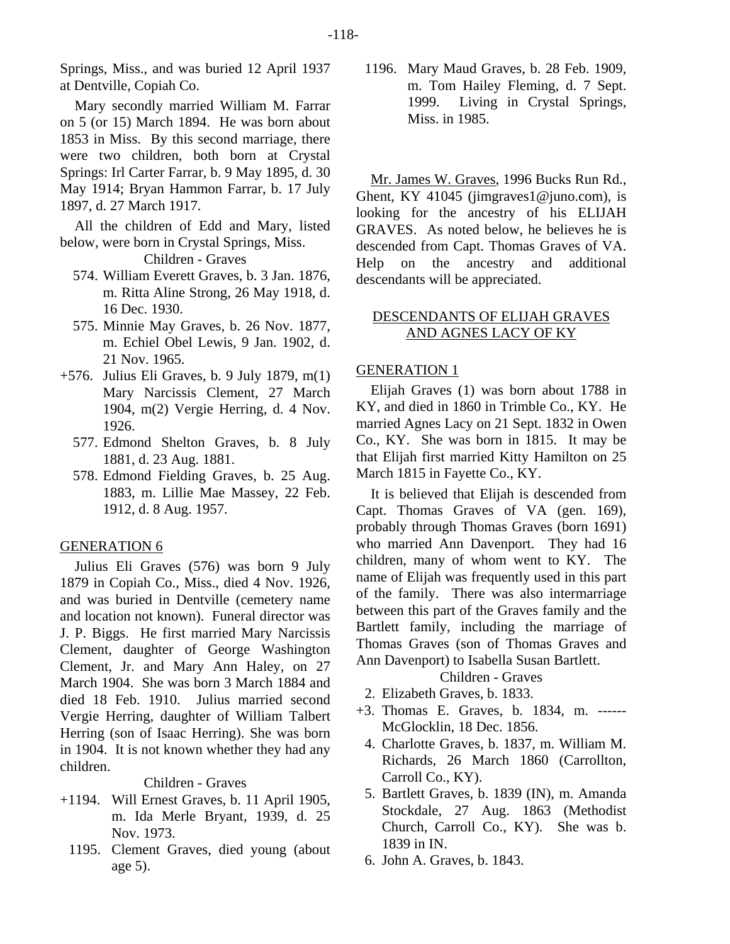Springs, Miss., and was buried 12 April 1937 at Dentville, Copiah Co.

Mary secondly married William M. Farrar on 5 (or 15) March 1894. He was born about 1853 in Miss. By this second marriage, there were two children, both born at Crystal Springs: Irl Carter Farrar, b. 9 May 1895, d. 30 May 1914; Bryan Hammon Farrar, b. 17 July 1897, d. 27 March 1917.

All the children of Edd and Mary, listed below, were born in Crystal Springs, Miss.

Children - Graves

- 574. William Everett Graves, b. 3 Jan. 1876, m. Ritta Aline Strong, 26 May 1918, d. 16 Dec. 1930.
- 575. Minnie May Graves, b. 26 Nov. 1877, m. Echiel Obel Lewis, 9 Jan. 1902, d. 21 Nov. 1965.
- +576. Julius Eli Graves, b. 9 July 1879, m(1) Mary Narcissis Clement, 27 March 1904, m(2) Vergie Herring, d. 4 Nov. 1926.
	- 577. Edmond Shelton Graves, b. 8 July 1881, d. 23 Aug. 1881.
	- 578. Edmond Fielding Graves, b. 25 Aug. 1883, m. Lillie Mae Massey, 22 Feb. 1912, d. 8 Aug. 1957.

# GENERATION 6

Julius Eli Graves (576) was born 9 July 1879 in Copiah Co., Miss., died 4 Nov. 1926, and was buried in Dentville (cemetery name and location not known). Funeral director was J. P. Biggs. He first married Mary Narcissis Clement, daughter of George Washington Clement, Jr. and Mary Ann Haley, on 27 March 1904. She was born 3 March 1884 and died 18 Feb. 1910. Julius married second Vergie Herring, daughter of William Talbert Herring (son of Isaac Herring). She was born in 1904. It is not known whether they had any children.

Children - Graves

- +1194. Will Ernest Graves, b. 11 April 1905, m. Ida Merle Bryant, 1939, d. 25 Nov. 1973.
	- 1195. Clement Graves, died young (about age 5).

 1196. Mary Maud Graves, b. 28 Feb. 1909, m. Tom Hailey Fleming, d. 7 Sept. 1999. Living in Crystal Springs, Miss. in 1985.

Mr. James W. Graves, 1996 Bucks Run Rd., Ghent, KY 41045 (jimgraves1@juno.com), is looking for the ancestry of his ELIJAH GRAVES. As noted below, he believes he is descended from Capt. Thomas Graves of VA. Help on the ancestry and additional descendants will be appreciated.

# DESCENDANTS OF ELIJAH GRAVES AND AGNES LACY OF KY

# GENERATION 1

Elijah Graves (1) was born about 1788 in KY, and died in 1860 in Trimble Co., KY. He married Agnes Lacy on 21 Sept. 1832 in Owen Co., KY. She was born in 1815. It may be that Elijah first married Kitty Hamilton on 25 March 1815 in Fayette Co., KY.

It is believed that Elijah is descended from Capt. Thomas Graves of VA (gen. 169), probably through Thomas Graves (born 1691) who married Ann Davenport. They had 16 children, many of whom went to KY. The name of Elijah was frequently used in this part of the family. There was also intermarriage between this part of the Graves family and the Bartlett family, including the marriage of Thomas Graves (son of Thomas Graves and Ann Davenport) to Isabella Susan Bartlett.

## Children - Graves

- 2. Elizabeth Graves, b. 1833.
- +3. Thomas E. Graves, b. 1834, m. ------ McGlocklin, 18 Dec. 1856.
	- 4. Charlotte Graves, b. 1837, m. William M. Richards, 26 March 1860 (Carrollton, Carroll Co., KY).
	- 5. Bartlett Graves, b. 1839 (IN), m. Amanda Stockdale, 27 Aug. 1863 (Methodist Church, Carroll Co., KY). She was b. 1839 in IN.
- 6. John A. Graves, b. 1843.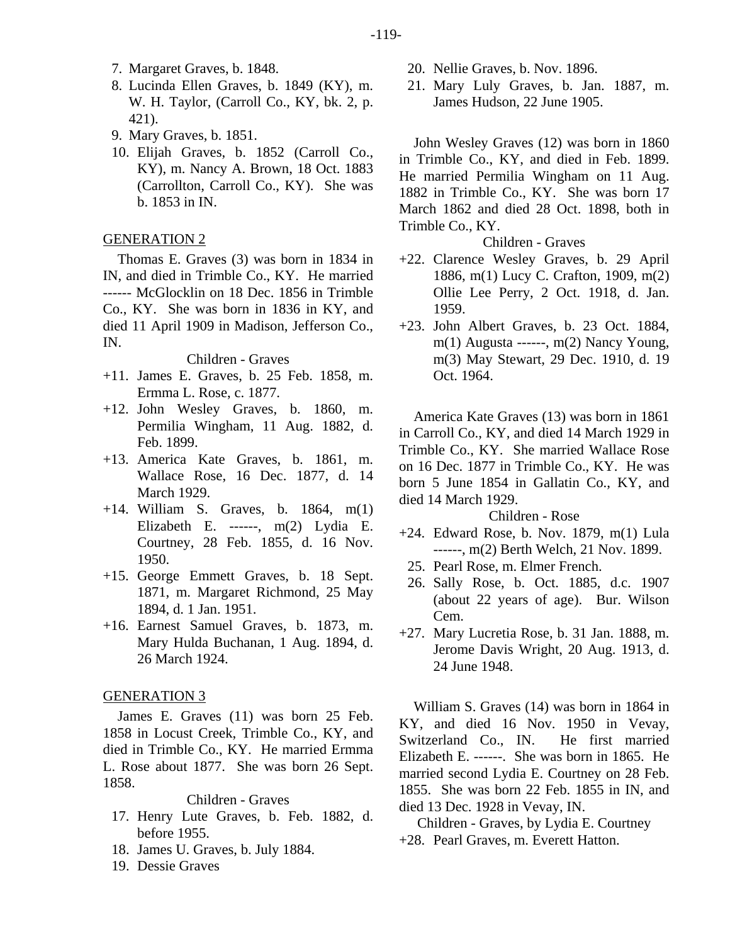- 7. Margaret Graves, b. 1848.
- 8. Lucinda Ellen Graves, b. 1849 (KY), m. W. H. Taylor, (Carroll Co., KY, bk. 2, p. 421).
- 9. Mary Graves, b. 1851.
- 10. Elijah Graves, b. 1852 (Carroll Co., KY), m. Nancy A. Brown, 18 Oct. 1883 (Carrollton, Carroll Co., KY). She was b. 1853 in IN.

## GENERATION 2

Thomas E. Graves (3) was born in 1834 in IN, and died in Trimble Co., KY. He married ------ McGlocklin on 18 Dec. 1856 in Trimble Co., KY. She was born in 1836 in KY, and died 11 April 1909 in Madison, Jefferson Co., IN.

# Children - Graves

- +11. James E. Graves, b. 25 Feb. 1858, m. Ermma L. Rose, c. 1877.
- +12. John Wesley Graves, b. 1860, m. Permilia Wingham, 11 Aug. 1882, d. Feb. 1899.
- +13. America Kate Graves, b. 1861, m. Wallace Rose, 16 Dec. 1877, d. 14 March 1929.
- +14. William S. Graves, b. 1864, m(1) Elizabeth E. ------, m(2) Lydia E. Courtney, 28 Feb. 1855, d. 16 Nov. 1950.
- +15. George Emmett Graves, b. 18 Sept. 1871, m. Margaret Richmond, 25 May 1894, d. 1 Jan. 1951.
- +16. Earnest Samuel Graves, b. 1873, m. Mary Hulda Buchanan, 1 Aug. 1894, d. 26 March 1924.

## GENERATION 3

James E. Graves (11) was born 25 Feb. 1858 in Locust Creek, Trimble Co., KY, and died in Trimble Co., KY. He married Ermma L. Rose about 1877. She was born 26 Sept. 1858.

#### Children - Graves

- 17. Henry Lute Graves, b. Feb. 1882, d. before 1955.
- 18. James U. Graves, b. July 1884.
- 19. Dessie Graves
- 20. Nellie Graves, b. Nov. 1896.
- 21. Mary Luly Graves, b. Jan. 1887, m. James Hudson, 22 June 1905.

John Wesley Graves (12) was born in 1860 in Trimble Co., KY, and died in Feb. 1899. He married Permilia Wingham on 11 Aug. 1882 in Trimble Co., KY. She was born 17 March 1862 and died 28 Oct. 1898, both in Trimble Co., KY.

# Children - Graves

- +22. Clarence Wesley Graves, b. 29 April 1886, m(1) Lucy C. Crafton, 1909, m(2) Ollie Lee Perry, 2 Oct. 1918, d. Jan. 1959.
- +23. John Albert Graves, b. 23 Oct. 1884, m(1) Augusta ------, m(2) Nancy Young, m(3) May Stewart, 29 Dec. 1910, d. 19 Oct. 1964.

America Kate Graves (13) was born in 1861 in Carroll Co., KY, and died 14 March 1929 in Trimble Co., KY. She married Wallace Rose on 16 Dec. 1877 in Trimble Co., KY. He was born 5 June 1854 in Gallatin Co., KY, and died 14 March 1929.

#### Children - Rose

- +24. Edward Rose, b. Nov. 1879, m(1) Lula ------, m(2) Berth Welch, 21 Nov. 1899.
	- 25. Pearl Rose, m. Elmer French.
- 26. Sally Rose, b. Oct. 1885, d.c. 1907 (about 22 years of age). Bur. Wilson Cem.
- +27. Mary Lucretia Rose, b. 31 Jan. 1888, m. Jerome Davis Wright, 20 Aug. 1913, d. 24 June 1948.

William S. Graves (14) was born in 1864 in KY, and died 16 Nov. 1950 in Vevay, Switzerland Co., IN. He first married Elizabeth E. ------. She was born in 1865. He married second Lydia E. Courtney on 28 Feb. 1855. She was born 22 Feb. 1855 in IN, and died 13 Dec. 1928 in Vevay, IN.

Children - Graves, by Lydia E. Courtney +28. Pearl Graves, m. Everett Hatton.